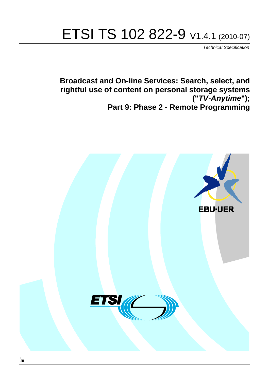# ETSI TS 102 822-9 V1.4.1 (2010-07)

*Technical Specification*

**Broadcast and On-line Services: Search, select, and rightful use of content on personal storage systems ("***TV-Anytime***"); Part 9: Phase 2 - Remote Programming**

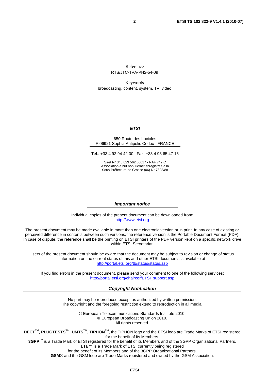Reference

RTS/JTC-TVA-PH2-54-09

Keywords broadcasting, content, system, TV, video

#### *ETSI*

#### 650 Route des Lucioles F-06921 Sophia Antipolis Cedex - FRANCE

Tel.: +33 4 92 94 42 00 Fax: +33 4 93 65 47 16

Siret N° 348 623 562 00017 - NAF 742 C Association à but non lucratif enregistrée à la Sous-Préfecture de Grasse (06) N° 7803/88

#### *Important notice*

Individual copies of the present document can be downloaded from: [http://www.etsi.org](http://www.etsi.org/)

The present document may be made available in more than one electronic version or in print. In any case of existing or perceived difference in contents between such versions, the reference version is the Portable Document Format (PDF). In case of dispute, the reference shall be the printing on ETSI printers of the PDF version kept on a specific network drive within ETSI Secretariat.

Users of the present document should be aware that the document may be subject to revision or change of status. Information on the current status of this and other ETSI documents is available at <http://portal.etsi.org/tb/status/status.asp>

If you find errors in the present document, please send your comment to one of the following services: [http://portal.etsi.org/chaircor/ETSI\\_support.asp](http://portal.etsi.org/chaircor/ETSI_support.asp)

#### *Copyright Notification*

No part may be reproduced except as authorized by written permission. The copyright and the foregoing restriction extend to reproduction in all media.

> © European Telecommunications Standards Institute 2010. © European Broadcasting Union 2010. All rights reserved.

**DECT**TM, **PLUGTESTS**TM, **UMTS**TM, **TIPHON**TM, the TIPHON logo and the ETSI logo are Trade Marks of ETSI registered for the benefit of its Members. **3GPP**TM is a Trade Mark of ETSI registered for the benefit of its Members and of the 3GPP Organizational Partners.

**LTE**™ is a Trade Mark of ETSI currently being registered

for the benefit of its Members and of the 3GPP Organizational Partners.

**GSM**® and the GSM logo are Trade Marks registered and owned by the GSM Association.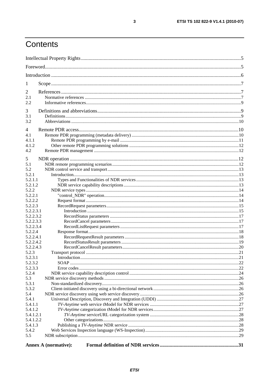# Contents

| 1                      |                             |  |
|------------------------|-----------------------------|--|
| $\overline{c}$         |                             |  |
| 2.1                    |                             |  |
| 2.2                    |                             |  |
| 3                      |                             |  |
| 3.1                    |                             |  |
| 3.2                    |                             |  |
| $\overline{4}$         |                             |  |
| 4.1                    |                             |  |
| 4.1.1                  |                             |  |
| 4.1.2                  |                             |  |
| 4.2                    |                             |  |
| 5                      |                             |  |
| 5.1                    |                             |  |
| 5.2                    |                             |  |
| 5.2.1                  |                             |  |
| 5.2.1.1                |                             |  |
| 5.2.1.2                |                             |  |
| 5.2.2                  |                             |  |
| 5.2.2.1                |                             |  |
| 5.2.2.2                |                             |  |
| 5.2.2.3                |                             |  |
| 5.2.2.3.1              |                             |  |
| 5.2.2.3.2              |                             |  |
| 5.2.2.3.3              |                             |  |
| 5.2.2.3.4              |                             |  |
| 5.2.2.4                |                             |  |
| 5.2.2.4.1              |                             |  |
| 5.2.2.4.2<br>5.2.2.4.3 |                             |  |
| 5.2.3                  |                             |  |
| 5.2.3.1                |                             |  |
| 5.2.3.2                |                             |  |
| 5.2.3.3                |                             |  |
| 5.2.4                  |                             |  |
| 5.3                    |                             |  |
| 5.3.1                  |                             |  |
| 5.3.2                  |                             |  |
| 5.4                    |                             |  |
| 5.4.1                  |                             |  |
| 5.4.1.1                |                             |  |
| 5.4.1.2                |                             |  |
| 5.4.1.2.1              |                             |  |
| 5.4.1.2.2              |                             |  |
| 5.4.1.3                |                             |  |
| 5.4.2                  |                             |  |
| 5.5                    |                             |  |
|                        | <b>Annex A (normative):</b> |  |
|                        |                             |  |

 $\mathbf{3}$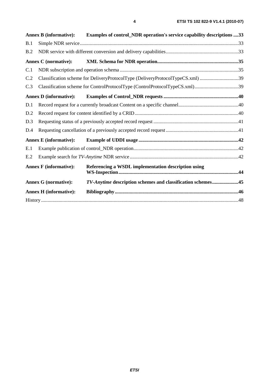|     | <b>Annex B</b> (informative): | <b>Examples of control_NDR operation's service capability descriptions 33</b>  |  |
|-----|-------------------------------|--------------------------------------------------------------------------------|--|
| B.1 |                               |                                                                                |  |
| B.2 |                               |                                                                                |  |
|     | <b>Annex C</b> (normative):   |                                                                                |  |
| C.1 |                               |                                                                                |  |
| C.2 |                               | Classification scheme for DeliveryProtocolType (DeliveryProtocolTypeCS.xml) 39 |  |
| C.3 |                               | Classification scheme for ControlProtocolType (ControlProtocolTypeCS.xml)39    |  |
|     | <b>Annex D</b> (informative): |                                                                                |  |
| D.1 |                               |                                                                                |  |
| D.2 |                               |                                                                                |  |
| D.3 |                               |                                                                                |  |
| D.4 |                               |                                                                                |  |
|     | <b>Annex E</b> (informative): |                                                                                |  |
| E.1 |                               |                                                                                |  |
| E.2 |                               |                                                                                |  |
|     | <b>Annex F</b> (informative): | Referencing a WSDL implementation description using                            |  |
|     | <b>Annex G (normative):</b>   | TV-Anytime description schemes and classification schemes45                    |  |
|     | <b>Annex H</b> (informative): |                                                                                |  |
|     |                               |                                                                                |  |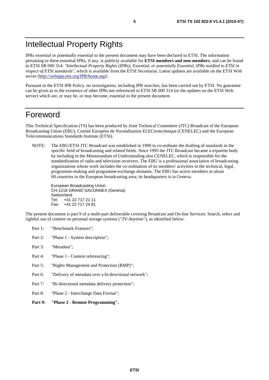# Intellectual Property Rights

IPRs essential or potentially essential to the present document may have been declared to ETSI. The information pertaining to these essential IPRs, if any, is publicly available for **ETSI members and non-members**, and can be found in ETSI SR 000 314: *"Intellectual Property Rights (IPRs); Essential, or potentially Essential, IPRs notified to ETSI in respect of ETSI standards"*, which is available from the ETSI Secretariat. Latest updates are available on the ETSI Web server [\(http://webapp.etsi.org/IPR/home.asp](http://webapp.etsi.org/IPR/home.asp)).

Pursuant to the ETSI IPR Policy, no investigation, including IPR searches, has been carried out by ETSI. No guarantee can be given as to the existence of other IPRs not referenced in ETSI SR 000 314 (or the updates on the ETSI Web server) which are, or may be, or may become, essential to the present document.

### Foreword

This Technical Specification (TS) has been produced by Joint Technical Committee (JTC) Broadcast of the European Broadcasting Union (EBU), Comité Européen de Normalisation ELECtrotechnique (CENELEC) and the European Telecommunications Standards Institute (ETSI).

NOTE: The EBU/ETSI JTC Broadcast was established in 1990 to co-ordinate the drafting of standards in the specific field of broadcasting and related fields. Since 1995 the JTC Broadcast became a tripartite body by including in the Memorandum of Understanding also CENELEC, which is responsible for the standardization of radio and television receivers. The EBU is a professional association of broadcasting organizations whose work includes the co-ordination of its members' activities in the technical, legal, programme-making and programme-exchange domains. The EBU has active members in about 60 countries in the European broadcasting area; its headquarters is in Geneva.

European Broadcasting Union CH-1218 GRAND SACONNEX (Geneva) Switzerland Tel: +41 22 717 21 11 Fax: +41 22 717 24 81

The present document is part 9 of a multi-part deliverable covering Broadcast and On-line Services: Search, select and rightful use of content on personal storage systems ("*TV-Anytime*"), as identified below:

- Part 1: "Benchmark Features";
- Part 2: "Phase 1 System description";
- Part 3: "Metadata";
- Part 4: "Phase 1 Content referencing":
- Part 5: "Rights Management and Protection (RMP)";
- Part 6: "Delivery of metadata over a bi-directional network";
- Part 7: "Bi-directional metadata delivery protection";
- Part 8: "Phase 2 Interchange Data Format";
- **Part 9: "Phase 2 Remote Programming".**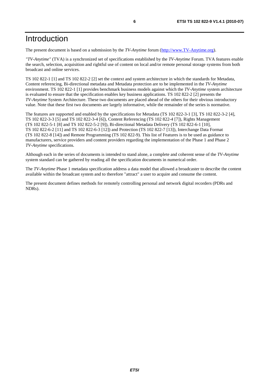### Introduction

The present document is based on a submission by the *TV-Anytime* forum [\(http://www.TV-Anytime.org](http://www.tv-anytime.org/)).

*"TV-Anytime"* (TVA) is a synchronized set of specifications established by the *TV-Anytime* Forum. TVA features enable the search, selection, acquisition and rightful use of content on local and/or remote personal storage systems from both broadcast and online services.

TS 102 822-1 [1] and TS 102 822-2 [2] set the context and system architecture in which the standards for Metadata, Content referencing, Bi-directional metadata and Metadata protection are to be implemented in the *TV-Anytime* environment. TS 102 822-1 [1] provides benchmark business models against which the *TV-Anytime* system architecture is evaluated to ensure that the specification enables key business applications. TS 102 822-2 [2] presents the *TV-Anytime* System Architecture. These two documents are placed ahead of the others for their obvious introductory value. Note that these first two documents are largely informative, while the remainder of the series is normative.

The features are supported and enabled by the specifications for Metadata (TS 102 822-3-1 [3], TS 102 822-3-2 [4], TS 102 822-3-3 [5] and TS 102 822-3-4 [6]), Content Referencing (TS 102 822-4 [7]), Rights Management (TS 102 822-5-1 [8] and TS 102 822-5-2 [9]), Bi-directional Metadata Delivery (TS 102 822-6-1 [10], TS 102 822-6-2 [11] and TS 102 822-6-3 [12]) and Protection (TS 102 822-7 [13]), Interchange Data Format (TS 102 822-8 [14]) and Remote Programming (TS 102 822-9). This list of Features is to be used as guidance to manufacturers, service providers and content providers regarding the implementation of the Phase 1 and Phase 2 *TV-Anytime* specifications.

Although each in the series of documents is intended to stand alone, a complete and coherent sense of the *TV-Anytime* system standard can be gathered by reading all the specification documents in numerical order.

The *TV-Anytime* Phase 1 metadata specification address a data model that allowed a broadcaster to describe the content available within the broadcast system and to therefore "attract" a user to acquire and consume the content.

The present document defines methods for remotely controlling personal and network digital recorders (PDRs and NDRs).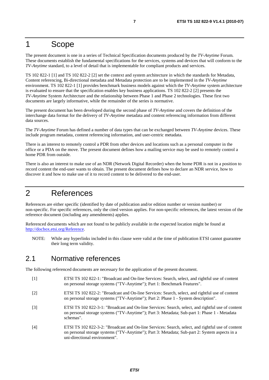### 1 Scope

The present document is one in a series of Technical Specification documents produced by the *TV-Anytime* Forum. These documents establish the fundamental specifications for the services, systems and devices that will conform to the *TV-Anytime* standard, to a level of detail that is implementable for compliant products and services.

TS 102 822-1 [1] and TS 102 822-2 [2] set the context and system architecture in which the standards for Metadata, Content referencing, Bi-directional metadata and Metadata protection are to be implemented in the *TV-Anytime* environment. TS 102 822-1 [1] provides benchmark business models against which the *TV-Anytime* system architecture is evaluated to ensure that the specification enables key business applications. TS 102 822-2 [2] presents the *TV-Anytime* System Architecture and the relationship between Phase 1 and Phase 2 technologies. These first two documents are largely informative, while the remainder of the series is normative.

The present document has been developed during the second phase of *TV-Anytime* and covers the definition of the interchange data format for the delivery of *TV-Anytime* metadata and content referencing information from different data sources.

The *TV-Anytime* Forum has defined a number of data types that can be exchanged between *TV-Anytime* devices. These include program metadata, content referencing information, and user-centric metadata.

There is an interest to remotely control a PDR from other devices and locations such as a personal computer in the office or a PDA on the move. The present document defines how a mailing service may be used to remotely control a home PDR from outside.

There is also an interest to make use of an NDR (Network Digital Recorder) when the home PDR is not in a position to record content the end-user wants to obtain. The present document defines how to declare an NDR service, how to discover it and how to make use of it to record content to be delivered to the end-user.

### 2 References

References are either specific (identified by date of publication and/or edition number or version number) or non-specific. For specific references, only the cited version applies. For non-specific references, the latest version of the reference document (including any amendments) applies.

Referenced documents which are not found to be publicly available in the expected location might be found at <http://docbox.etsi.org/Reference>.

NOTE: While any hyperlinks included in this clause were valid at the time of publication ETSI cannot guarantee their long term validity.

### 2.1 Normative references

The following referenced documents are necessary for the application of the present document.

- [1] ETSI TS 102 822-1: "Broadcast and On-line Services: Search, select, and rightful use of content on personal storage systems ("TV-Anytime"); Part 1: Benchmark Features".
- [2] ETSI TS 102 822-2: "Broadcast and On-line Services: Search, select, and rightful use of content on personal storage systems ("TV-Anytime"); Part 2: Phase 1 - System description".
- [3] ETSI TS 102 822-3-1: "Broadcast and On-line Services: Search, select, and rightful use of content on personal storage systems ("TV-Anytime"); Part 3: Metadata; Sub-part 1: Phase 1 - Metadata schemas".
- [4] ETSI TS 102 822-3-2: "Broadcast and On-line Services: Search, select, and rightful use of content on personal storage systems ("TV-Anytime"); Part 3: Metadata; Sub-part 2: System aspects in a uni-directional environment".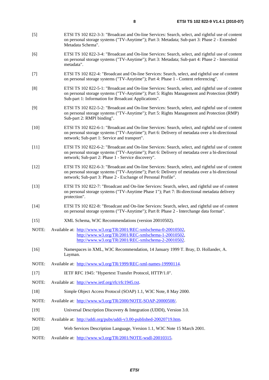- [5] ETSI TS 102 822-3-3: "Broadcast and On-line Services: Search, select, and rightful use of content on personal storage systems ("TV-Anytime"); Part 3: Metadata; Sub-part 3: Phase 2 - Extended Metadata Schema".
- [6] ETSI TS 102 822-3-4: "Broadcast and On-line Services: Search, select, and rightful use of content on personal storage systems ("TV-Anytime"); Part 3: Metadata; Sub-part 4: Phase 2 - Interstitial metadata".
- [7] ETSI TS 102 822-4: "Broadcast and On-line Services: Search, select, and rightful use of content on personal storage systems ("TV-Anytime"); Part 4: Phase 1 - Content referencing".
- [8] ETSI TS 102 822-5-1: "Broadcast and On-line Services: Search, select, and rightful use of content on personal storage systems ("TV-Anytime"); Part 5: Rights Management and Protection (RMP) Sub-part 1: Information for Broadcast Applications".
- [9] ETSI TS 102 822-5-2: "Broadcast and On-line Services: Search, select, and rightful use of content on personal storage systems ("TV-Anytime"); Part 5: Rights Management and Protection (RMP) Sub-part 2: RMPI binding".
- [10] ETSI TS 102 822-6-1: "Broadcast and On-line Services: Search, select, and rightful use of content on personal storage systems ("TV-Anytime"); Part 6: Delivery of metadata over a bi-directional network; Sub-part 1: Service and transport".
- [11] ETSI TS 102 822-6-2: "Broadcast and On-line Services: Search, select, and rightful use of content on personal storage systems ("TV-Anytime"); Part 6: Delivery of metadata over a bi-directional network; Sub-part 2: Phase 1 - Service discovery".
- [12] ETSI TS 102 822-6-3: "Broadcast and On-line Services: Search, select, and rightful use of content on personal storage systems ("TV-Anytime"); Part 6: Delivery of metadata over a bi-directional network; Sub-part 3: Phase 2 - Exchange of Personal Profile".
- [13] ETSI TS 102 822-7: "Broadcast and On-line Services: Search, select, and rightful use of content on personal storage systems ("TV-Anytime Phase 1"); Part 7: Bi-directional metadata delivery protection".
- [14] ETSI TS 102 822-8: "Broadcast and On-line Services: Search, select, and rightful use of content on personal storage systems ("TV-Anytime"); Part 8: Phase 2 - Interchange data format".
- [15] XML Schema, W3C Recommendations (version 20010502).
- NOTE: Available at: <http://www.w3.org/TR/2001/REC-xmlschema-0-20010502>, <http://www.w3.org/TR/2001/REC-xmlschema-1-20010502>, [http://www.w3.org/TR/2001/REC-xmlschema-2-20010502](http://www.w3.org/XML/Schema).
- [16] Namespaces in XML, W3C Recommendation, 14 January 1999 T. Bray, D. Hollander, A. Layman.
- NOTE: Available at: <http://www.w3.org/TR/1999/REC-xml-names-19990114>.
- [17] IETF RFC 1945: "Hypertext Transfer Protocol, HTTP/1.0".
- NOTE: Available at: [http://www.ietf.org/rfc/rfc1945.txt.](http://www.ietf.org/rfc/rfc1945.txt)
- [18] Simple Object Access Protocol (SOAP) 1.1, W3C Note, 8 May 2000.
- NOTE: Available at: [http://www.w3.org/TR/2000/NOTE-SOAP-20000508/.](http://www.w3.org/TR/2000/NOTE-SOAP-20000508/)
- [19] Universal Description Discovery & Integration (UDDI), Version 3.0.
- NOTE: Available at: [http://uddi.org/pubs/uddi-v3.00-published-20020719.htm.](http://uddi.org/pubs/uddi-v3.00-published-20020719.htm)
- [20] Web Services Description Language, Version 1.1, W3C Note 15 March 2001.
- NOTE: Available at: [http://www.w3.org/TR/2001/NOTE-wsdl-20010315.](http://www.w3.org/TR/2001/NOTE-wsdl-20010315)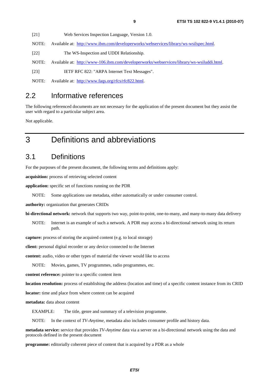[21] Web Services Inspection Language, Version 1.0.

NOTE: Available at: [http://www.ibm.com/developerworks/webservices/library/ws-wsilspec.htm](http://www.ibm.com/developerworks/webservices/library/ws-wsilspec.html)l.

[22] The WS-Inspection and UDDI Relationship.

NOTE: Available at: <http://www-106.ibm.com/developerworks/webservices/library/ws-wsiluddi.html>.

[23] IETF RFC 822: "ARPA Internet Text Messages".

NOTE: Available at: [http://www.faqs.org/rfcs/rfc822.html.](http://www.faqs.org/rfcs/rfc822.html)

### 2.2 Informative references

The following referenced documents are not necessary for the application of the present document but they assist the user with regard to a particular subject area.

Not applicable.

## 3 Definitions and abbreviations

### 3.1 Definitions

For the purposes of the present document, the following terms and definitions apply:

**acquisition:** process of retrieving selected content

**application:** specific set of functions running on the PDR

NOTE: Some applications use metadata, either automatically or under consumer control.

**authority:** organization that generates CRIDs

**bi-directional network:** network that supports two way, point-to-point, one-to-many, and many-to-many data delivery

NOTE: Internet is an example of such a network. A PDR may access a bi-directional network using its return path.

**capture:** process of storing the acquired content (e.g. to local storage)

**client:** personal digital recorder or any device connected to the Internet

**content:** audio, video or other types of material the viewer would like to access

NOTE: Movies, games, TV programmes, radio programmes, etc.

**content reference:** pointer to a specific content item

**location resolution:** process of establishing the address (location and time) of a specific content instance from its CRID

**locator:** time and place from where content can be acquired

**metadata:** data about content

EXAMPLE: The title, genre and summary of a television programme.

NOTE: In the context of *TV-Anytime*, metadata also includes consumer profile and history data.

**metadata service:** service that provides *TV-Anytime* data via a server on a bi-directional network using the data and protocols defined in the present document

**programme:** editorially coherent piece of content that is acquired by a PDR as a whole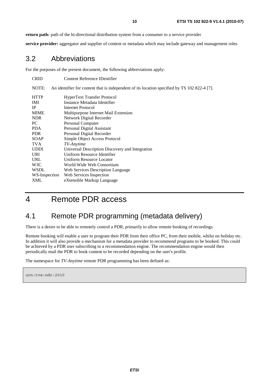**return path:** path of the bi-directional distribution system from a consumer to a service provider

**service provider:** aggregator and supplier of content or metadata which may include gateway and management roles

### 3.2 Abbreviations

For the purposes of the present document, the following abbreviations apply:

| <b>CRID</b>   | Content Reference IDentifier                                                                 |
|---------------|----------------------------------------------------------------------------------------------|
| NOTE:         | An identifier for content that is independent of its location specified by TS 102 822-4 [7]. |
| <b>HTTP</b>   | HyperText Transfer Protocol                                                                  |
| IMI.          | Instance Metadata Identifier                                                                 |
| IP            | <b>Internet Protocol</b>                                                                     |
| <b>MIME</b>   | Multipurpose Internet Mail Extension                                                         |
| <b>NDR</b>    | Network Digital Recorder                                                                     |
| PС            | Personal Computer                                                                            |
| PDA.          | Personal Digital Assistant                                                                   |
| <b>PDR</b>    | Personal Digital Recorder                                                                    |
| <b>SOAP</b>   | Simple Object Access Protocol                                                                |
| <b>TVA</b>    | TV-Anytime                                                                                   |
| <b>UDDI</b>   | Universal Description Discovery and Integration                                              |
| <b>URI</b>    | Uniform Resource Identifier                                                                  |
| URL           | Uniform Resource Locator                                                                     |
| W3C           | World Wide Web Consortium                                                                    |
| <b>WSDL</b>   | Web Services Description Language                                                            |
| WS-Inspection | Web Services Inspection                                                                      |
| XML           | eXtensible Markup Language                                                                   |

4 Remote PDR access

### 4.1 Remote PDR programming (metadata delivery)

There is a desire to be able to remotely control a PDR, primarily to allow remote booking of recordings.

Remote booking will enable a user to program their PDR from their office PC, from their mobile, whilst on holiday etc. In addition it will also provide a mechanism for a metadata provider to recommend programs to be booked. This could be achieved by a PDR user subscribing to a recommendation engine. The recommendation engine would then periodically mail the PDR to book content to be recorded depending on the user's profile.

The namespace for *TV-Anytime* remote PDR programming has been defined as:

urn:tva:ndr:2010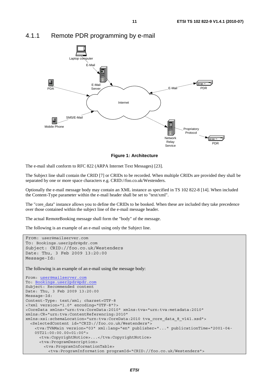

**Figure 1: Architecture** 

The e-mail shall conform to RFC 822 (ARPA Internet Text Messages) [23].

The Subject line shall contain the CRID [7] or CRIDs to be recorded. When multiple CRIDs are provided they shall be separated by one or more space characters e.g. CRID://foo.co.uk/Westenders.

Optionally the e-mail message body may contain an XML instance as specified in TS 102 822-8 [14]. When included the Content-Type parameter within the e-mail header shall be set to "text/xml".

The "core\_data" instance allows you to define the CRIDs to be booked. When these are included they take precedence over those contained within the subject line of the e-mail message header.

The actual RemoteBooking message shall form the "body" of the message.

The following is an example of an e-mail using only the Subject line.

```
From: user@mailserver.com
To: Bookings.user2pdr@pdr.com
Subject: CRID://foo.co.uk/Westenders 
Date: Thu, 3 Feb 2009 13:20:00 
Message-Id: 
The following is an example of an e-mail using the message body:
From: user@mailserver.com
To: Bookings.user2pdr@pdr.com
Subject: Recommended content 
Date: Thu, 3 Feb 2009 13:20:00 
Message-Id: 
Content-Type: text/xml; charset=UTF-8 
<?xml version="1.0" encoding="UTF-8"?> 
<CoreData xmlns="urn:tva:CoreData:2010" xmlns:tva="urn:tva:metadata:2010" 
xmlns:CR="urn:tva:ContentReferencing:2010" 
xmlns:xsi:schemaLocation="urn:tva:CoreData:2010 tva_core_data_8_v141.xsd"> 
   <SelectedContent id="CRID://foo.co.uk/Westenders"> 
     <tva:TVAMain version="03" xml:lang="en" publisher="..." publicationTime="2001-04- 
     05T21:00:00.00+01:00"> 
      <tva:CopyrightNotice>...</tva:CopyrightNotice> 
      <tva:ProgramDescription> 
         <tva:ProgramInformationTable> 
          <tva:ProgramInformation programId="CRID://foo.co.uk/Westenders">
```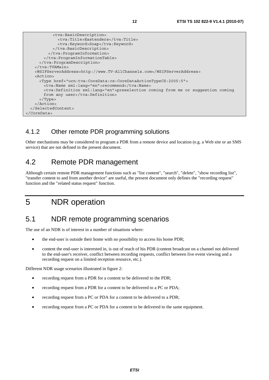```
 <tva:BasicDescription> 
              <tva:Title>Eastenders</tva:Title> 
              <tva:Keyword>Soap</tva:Keyword> 
            </tva:BasicDescription> 
          </tva:ProgramInformation> 
        </tva:ProgramInformationTable> 
      </tva:ProgramDescription> 
    </tva:TVAMain> 
    <WSIFServerAddress>http://www.TV-AllChannels.com</WSIFServerAddress> 
    <Action> 
      <Type href="urn:tva:CoreData:cs:CoreDataActionTypeCS:2005:5"> 
       <tva:Name xml:lang="en">recommend</tva:Name>
        <tva:Definition xml:lang="en">preselection coming from me or suggestion coming 
       from any user</tva:Definition>
      </Type> 
    </Action> 
  </SelectedContent> 
</CoreData>
```
### 4.1.2 Other remote PDR programming solutions

Other mechanisms may be considered to program a PDR from a remote device and location (e.g. a Web site or an SMS service) that are not defined in the present document.

### 4.2 Remote PDR management

Although certain remote PDR management functions such as "list content", "search", "delete", "show recording list", "transfer content to and from another device" are useful, the present document only defines the "recording request" function and the "related status request" function.

# 5 NDR operation

### 5.1 NDR remote programming scenarios

The use of an NDR is of interest in a number of situations where:

- the end-user is outside their home with no possibility to access his home PDR;
- content the end-user is interested in, is out of reach of his PDR (content broadcast on a channel not delivered to the end-user's receiver, conflict between recording requests, conflict between live event viewing and a recording request on a limited reception resource, etc.).

Different NDR usage scenarios illustrated in figure 2:

- recording request from a PDR for a content to be delivered to the PDR;
- recording request from a PDR for a content to be delivered to a PC or PDA;
- recording request from a PC or PDA for a content to be delivered to a PDR;
- recording request from a PC or PDA for a content to be delivered to the same equipment.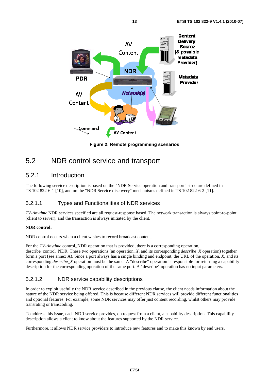

**Figure 2: Remote programming scenarios** 

### 5.2 NDR control service and transport

### 5.2.1 Introduction

The following service description is based on the "NDR Service operation and transport" structure defined in TS 102 822-6-1 [10], and on the "NDR Service discovery" mechanisms defined in TS 102 822-6-2 [11].

#### 5.2.1.1 Types and Functionalities of NDR services

*TV-Anytime* NDR services specified are all request-response based. The network transaction is always point-to-point (client to server), and the transaction is always initiated by the client.

#### **NDR control:**

NDR control occurs when a client wishes to record broadcast content.

For the *TV-Anytime* control NDR operation that is provided, there is a corresponding operation, describe\_control\_NDR. These two operations (an operation, *X*, and its corresponding *describe*\_*X* operation) together form a port (see annex A). Since a port always has a single binding and endpoint, the URL of the operation, *X*, and its corresponding *describe\_X* operation must be the same. A "describe" operation is responsible for returning a capability description for the corresponding operation of the same port. A "describe" operation has no input parameters.

#### 5.2.1.2 NDR service capability descriptions

In order to exploit usefully the NDR service described in the previous clause, the client needs information about the nature of the NDR service being offered. This is because different NDR services will provide different functionalities and optional features. For example, some NDR services may offer just content recording, whilst others may provide transrating or transcoding.

To address this issue, each NDR service provides, on request from a client, a capability description. This capability description allows a client to know about the features supported by the NDR service.

Furthermore, it allows NDR service providers to introduce new features and to make this known by end users.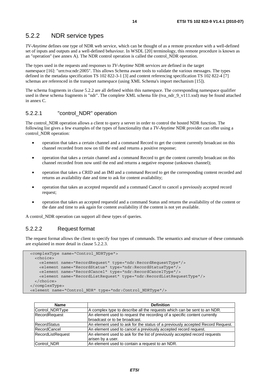### 5.2.2 NDR service types

*TV-Anytime* defines one type of NDR web service, which can be thought of as a remote procedure with a well-defined set of inputs and outputs and a well-defined behaviour. In WSDL [20] terminology, this remote procedure is known as an "operation" (see annex A). The NDR control operation is called the control\_NDR operation.

The types used in the requests and responses to *TV-Anytime* NDR services are defined in the target namespace [16]: "urn:tva:ndr:2005". This allows Schema aware tools to validate the various messages. The types defined in the metadata specification TS 102 822-3-1 [3] and content referencing specification TS 102 822-4 [7] schemas are referenced in the transport namespace (using XML Schema's import mechanism [15]).

The schema fragments in clause 5.2.2 are all defined within this namespace. The corresponding namespace qualifier used in these schema fragments is "ndr". The complete XML schema file (tva\_ndr\_9\_v111.xsd) may be found attached in annex C.

#### 5.2.2.1 "control\_NDR" operation

The control NDR operation allows a client to query a server in order to control the hosted NDR function. The following list gives a few examples of the types of functionality that a *TV-Anytime* NDR provider can offer using a control\_NDR operation:

- operation that takes a certain channel and a command Record to get the content currently broadcast on this channel recorded from now on till the end and returns a positive response;
- operation that takes a certain channel and a command Record to get the content currently broadcast on this channel recorded from now until the end and returns a negative response (unknown channel);
- operation that takes a CRID and an IMI and a command Record to get the corresponding content recorded and returns an availability date and time to ask for content availability;
- operation that takes an accepted requestId and a command Cancel to cancel a previously accepted record request;
- operation that takes an accepted requestId and a command Status and returns the availability of the content or the date and time to ask again for content availability if the content is not yet available.

A control\_NDR operation can support all these types of queries.

#### 5.2.2.2 Request format

The request format allows the client to specify four types of commands. The semantics and structure of these commands are explained in more detail in clause 5.2.2.3.

```
 <complexType name="Control_NDRType"> 
  <choice> 
    <element name="RecordRequest" type="ndr:RecordRequestType"/> 
    <element name="RecordStatus" type="ndr:RecordStatusType"/> 
    <element name="RecordCancel" type="ndr:RecordCancelType"/> 
     <element name="RecordListRequest" type="ndr:RecordListRequestType"/> 
  </choice> 
 </complexType> 
 <element name="Control_NDR" type="ndr:Control_NDRType"/>
```

| <b>Name</b>         | <b>Definition</b>                                                              |
|---------------------|--------------------------------------------------------------------------------|
| Control_NDRType     | A complex type to describe all the requests which can be sent to an NDR.       |
| RecordRequest       | An element used to request the recording of a specific content currently       |
|                     | broadcast or to be broadcast.                                                  |
| RecordStatus        | An element used to ask for the status of a previously accepted Record Request. |
| <b>RecordCancel</b> | An element used to cancel a previously accepted record request.                |
| RecordListRequest   | An element used to ask for the list of previously accepted record requests     |
|                     | arisen by a user.                                                              |
| Control_NDR         | An element used to contain a request to an NDR.                                |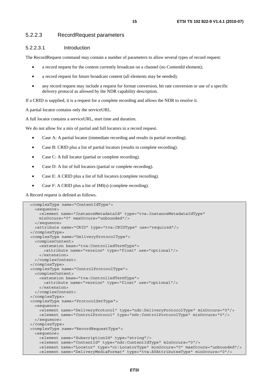#### 5.2.2.3 RecordRequest parameters

#### 5.2.2.3.1 Introduction

The RecordRequest command may contain a number of parameters to allow several types of record request:

- a record request for the content currently broadcast on a channel (no ContentId element);
- a record request for future broadcast content (all elements may be needed);
- any record request may include a request for format conversion, bit rate conversion or use of a specific delivery protocol as allowed by the NDR capability description.

If a CRID is supplied, it is a request for a complete recording and allows the NDR to resolve it.

A partial locator contains only the serviceURL.

A full locator contains a serviceURL, start time and duration.

We do not allow for a mix of partial and full locators in a record request.

- Case A: A partial locator (immediate recording and results in partial recording).
- Case B: CRID plus a list of partial locators (results in complete recording).
- Case C: A full locator (partial or complete recording).
- Case D: A list of full locators (partial or complete recording).
- Case E: A CRID plus a list of full locators (complete recording).
- Case F: A CRID plus a list of IMI(s) (complete recording).

A Record request is defined as follows.

```
 <complexType name="ContentIdType"> 
   <sequence> 
    <element name="InstanceMetadataId" type="tva:InstanceMetadataIdType" 
    minOccurs="0" maxOccurs="unbounded"/> 
  </sequence> 
   <attribute name="CRID" type="tva:CRIDType" use="required"/> 
 </complexType> 
 <complexType name="DeliveryProtocolType"> 
  <complexContent> 
     <extension base="tva:ControlledTermType"> 
       <attribute name="version" type="float" use="optional"/> 
    </extension> 
  </complexContent> 
 </complexType> 
 <complexType name="ControlProtocolType"> 
  <complexContent> 
    <extension base="tva:ControlledTermType"> 
      <attribute name="version" type="float" use="optional"/> 
    </extension> 
  </complexContent> 
 </complexType> 
 <complexType name="ProtocolSetType"> 
  <sequence> 
     <element name="DeliveryProtocol" type="ndr:DeliveryProtocolType" minOccurs="0"/> 
    <element name="ControlProtocol" type="ndr:ControlProtocolType" minOccurs="0"/> 
  </sequence> 
 </complexType> 
 <complexType name="RecordRequestType"> 
  <sequence> 
    <element name="SubscriptionId" type="string"/> 
    <element name="ContentId" type="ndr:ContentIdType" minOccurs="0"/> 
    <element name="Locator" type="cr:LocatorType" minOccurs="0" maxOccurs="unbounded"/> 
     <element name="DeliveryMediaFormat" type="tva:AVAttributesType" minOccurs="0"/>
```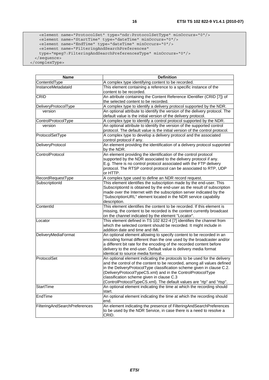```
 <element name="ProtocolSet" type="ndr:ProtocolSetType" minOccurs="0"/> 
 <element name="StartTime" type="dateTime" minOccurs="0"/> 
 <element name="EndTime" type="dateTime" minOccurs="0"/> 
      <element name="FilteringAndSearchPreferences" 
      type="mpeg7:FilteringAndSearchPreferencesType" minOccurs="0"/> 
    </sequence>
```
</complexType>

| <b>Name</b>                   | <b>Definition</b>                                                                                                                                                                                                                                                                                                                                                                                                  |
|-------------------------------|--------------------------------------------------------------------------------------------------------------------------------------------------------------------------------------------------------------------------------------------------------------------------------------------------------------------------------------------------------------------------------------------------------------------|
| ContentIdType                 | A complex type identifying content to be recorded.                                                                                                                                                                                                                                                                                                                                                                 |
| InstanceMetadataId            | This element containing a reference to a specific instance of the<br>content to be recorded.                                                                                                                                                                                                                                                                                                                       |
| <b>CRID</b>                   | An attribute containing the Content Reference IDentifier (CRID [7]) of<br>the selected content to be recorded.                                                                                                                                                                                                                                                                                                     |
| <b>DeliveryProtocolType</b>   | A complex type to identify a delivery protocol supported by the NDR.                                                                                                                                                                                                                                                                                                                                               |
| version                       | An optional attribute to identify the version of the delivery protocol. The                                                                                                                                                                                                                                                                                                                                        |
|                               | default value is the initial version of the delivery protocol.                                                                                                                                                                                                                                                                                                                                                     |
| ControlProtocolType           | A complex type to identify a control protocol supported by the NDR.                                                                                                                                                                                                                                                                                                                                                |
| version                       | An optional attribute to identify the version of the supported control<br>protocol. The default value is the initial version of the control protocol.                                                                                                                                                                                                                                                              |
| ProtocolSetType               | A complex type to develop a delivery protocol and the associated<br>control protocol if any.                                                                                                                                                                                                                                                                                                                       |
| DeliveryProtocol              | An element providing the identification of a delivery protocol supported<br>by the NDR.                                                                                                                                                                                                                                                                                                                            |
| ControlProtocol               | An element providing the identification of the control protocol<br>supported by the NDR associated to the delivery protocol if any.<br>E.g. There is no control protocol associated with the FTP delivery<br>protocol. The RTSP control protocol can be associated to RTP, UDP<br>or HTTP.                                                                                                                         |
| RecordRequestType             | A complex type used to define an NDR record request.                                                                                                                                                                                                                                                                                                                                                               |
| SubscriptionId                | This element identifies the subscription made by the end-user. This<br>SubscriptionId is obtained by the end-user as the result of subscription<br>made over the Internet with the subscription server indicated by the<br>"SubscriptionURL" element located in the NDR service capability<br>description.                                                                                                         |
| ContentId                     | This element identifies the content to be recorded. If this element is<br>missing, the content to be recorded is the content currently broadcast<br>on the channel indicated by the element "Locator".                                                                                                                                                                                                             |
| Locator                       | This element defined in TS 102 822-4 [7] identifies the channel from<br>which the selected content should be recorded. It might include in<br>addition date and time and IMI.                                                                                                                                                                                                                                      |
| DeliveryMediaFormat           | An optional element allowing to specify content to be recorded in an<br>encoding format different than the one used by the broadcaster and/or<br>a different bit rate for the encoding of the recorded content before<br>delivery to the end-user. Default value is delivery media format<br>identical to source media format.                                                                                     |
| ProtocolSet                   | An optional element indicating the protocols to be used for the delivery<br>and the control of the content to be recorded, among all values defined<br>in the DeliveryProtocolType classification scheme given in clause C.2.<br>(DeliveryProtocolTypeCS.xml) and in the ControlProtocolType<br>classification scheme given in clause C.3<br>(ControlProtocolTypeCS.xml). The default values are "rtp" and "rtsp". |
| <b>StartTime</b>              | An optional element indicating the time at which the recording should<br>start.                                                                                                                                                                                                                                                                                                                                    |
| EndTime                       | An optional element indicating the time at which the recording should<br>end.                                                                                                                                                                                                                                                                                                                                      |
| FilteringAndSearchPreferences | An element indicating the presence of FilteringAndSearchPreferences<br>to be used by the NDR Service, in case there is a need to resolve a<br>CRID.                                                                                                                                                                                                                                                                |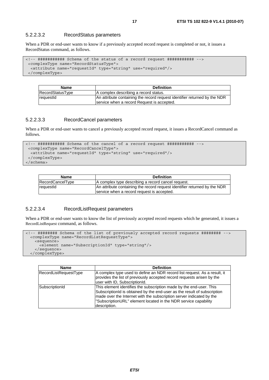#### 5.2.2.3.2 RecordStatus parameters

When a PDR or end-user wants to know if a previously accepted record request is completed or not, it issues a RecordStatus command, as follows.

```
<!-- ########### Schema of the status of a record request ########### --> 
  <complexType name="RecordStatusType"> 
   <attribute name="requestId" type="string" use="required"/> 
  </complexType>
```

| <b>Name</b>      | <b>Definition</b>                                                                                                       |
|------------------|-------------------------------------------------------------------------------------------------------------------------|
| RecordStatusType | A complex describing a record status.                                                                                   |
| requestid        | An attribute containing the record request identifier returned by the NDR<br>service when a record Request is accepted. |

#### 5.2.2.3.3 RecordCancel parameters

When a PDR or end-user wants to cancel a previously accepted record request, it issues a RecordCancel command as follows.

```
<!-- ########### Schema of the cancel of a record request ########### --> 
  <complexType name="RecordCancelType"> 
   <attribute name="requestId" type="string" use="required"/> 
  </complexType> 
</schema>
```

| <b>Name</b>      | <b>Definition</b>                                                         |
|------------------|---------------------------------------------------------------------------|
| RecordCancelType | A complex type describing a record cancel request.                        |
| requestId        | An attribute containing the record request identifier returned by the NDR |
|                  | service when a record request is accepted.                                |

#### 5.2.2.3.4 RecordListRequest parameters

When a PDR or end-user wants to know the list of previously accepted record requests which he generated, it issues a RecordListRequest command, as follows.

```
<!-- ######## Schema of the list of previously accepted record requests ######## --> 
  <complexType name="RecordListRequestType"> 
    <sequence> 
      <element name="SubscriptionId" type="string"/> 
    </sequence> 
  </complexType>
```

| <b>Name</b>           | <b>Definition</b>                                                                                                                                                                                                                                                                                          |
|-----------------------|------------------------------------------------------------------------------------------------------------------------------------------------------------------------------------------------------------------------------------------------------------------------------------------------------------|
| RecordListRequestType | A complex type used to define an NDR record list request. As a result, it<br>provides the list of previously accepted record requests arisen by the<br>user with ID, SubscriptionId.                                                                                                                       |
| SubscriptionId        | This element identifies the subscription made by the end-user. This<br>SubscriptionId is obtained by the end-user as the result of subscription<br>made over the Internet with the subscription server indicated by the<br>"SubscriptionURL" element located in the NDR service capability<br>description. |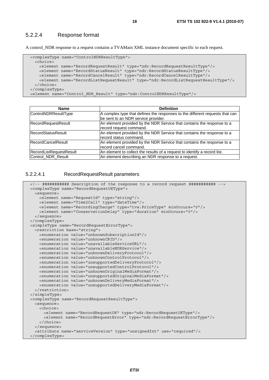#### 5.2.2.4 Response format

A control\_NDR response to a request contains a TVAMain XML instance document specific to each request.

```
 <complexType name="ControlNDRResultType"> 
    <choice> 
      <element name="RecordRequestResult" type="ndr:RecordRequestResultType"/> 
 <element name="RecordStatusResult" type="ndr:RecordStatusResultType"/> 
 <element name="RecordCancelResult" type="ndr:RecordCancelResultType"/> 
      <element name="RecordListRequestResult" type="ndr:RecordListRequestResultType"/> 
    </choice> 
  </complexType> 
  <element name="Control_NDR_Result" type="ndr:ControlNDRResultType"/>
```

| Name                      | <b>Definition</b>                                                            |
|---------------------------|------------------------------------------------------------------------------|
| ControlNDRResultType      | A complex type that defines the responses to the different requests that can |
|                           | be sent to an NDR service provider.                                          |
| RecordRequestResult       | An element provided by the NDR Service that contains the response to a       |
|                           | record request command.                                                      |
| <b>RecordStatusResult</b> | An element provided by the NDR Service that contains the response to a       |
|                           | record status command.                                                       |
| <b>RecordCancelResult</b> | An element provided by the NDR Service that contains the response to a       |
|                           | record cancel command.                                                       |
| RecordListRequestResult   | An element to collect the results of a request to identify a record list.    |
| Control_NDR_Result        | An element describing an NDR response to a request.                          |

#### 5.2.2.4.1 RecordRequestResult parameters

```
 <!-- ########### Description of the response to a record request ########### --> 
 <complexType name="RecordRequestOKType"> 
  <sequence> 
    <element name="RequestId" type="string"/> 
    <element name="Time2Call" type="dateTime"/> 
    <element name="RecordingCharge" type="tva:PriceType" minOccurs="0"/> 
    <element name="ConservationDelay" type="duration" minOccurs="0"/> 
  </sequence> 
 </complexType> 
 <simpleType name="RecordRequestErrorType"> 
   <restriction base="string"> 
    <enumeration value="unknownSubscriptionId"/> 
    <enumeration value="unknownCRID"/> 
    <enumeration value="unavailableServiceURL"/> 
    <enumeration value="unavailableNDRService"/> 
    <enumeration value="unknownDeliveryProtocol"/> 
    <enumeration value="unknownControlProtocol"/> 
    <enumeration value="unsupportedDeliveryProtocol"/> 
    <enumeration value="unsupportedControlProtocol"/> 
    <enumeration value="unknownOriginalMediaFormat"/> 
    <enumeration value="unsupportedOriginalMediaFormat"/> 
    <enumeration value="unknownDeliveryMediaFormat"/> 
    <enumeration value="unsupportedDeliveryMediaFormat"/> 
  </restriction> 
 </simpleType> 
 <complexType name="RecordRequestResultType"> 
  <sequence> 
    <choice> 
      <element name="RecordRequestOK" type="ndr:RecordRequestOKType"/> 
      <element name="RecordRequestError" type="ndr:RecordRequestErrorType"/> 
    </choice> 
  </sequence> 
   <attribute name="serviceVersion" type="unsignedInt" use="required"/> 
 </complexType>
```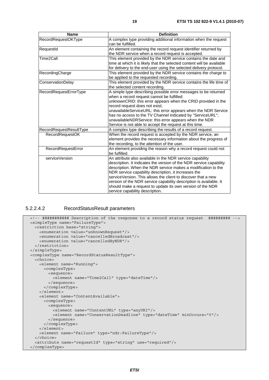| <b>Name</b>                | <b>Definition</b>                                                                                                                                                                                                                                                                                                                                                                                                                                                                                  |
|----------------------------|----------------------------------------------------------------------------------------------------------------------------------------------------------------------------------------------------------------------------------------------------------------------------------------------------------------------------------------------------------------------------------------------------------------------------------------------------------------------------------------------------|
| <b>RecordRequestOKType</b> | A complex type providing additional information when the request<br>can be fulfilled.                                                                                                                                                                                                                                                                                                                                                                                                              |
| RequestId                  | An element containing the record request identifier returned by<br>the NDR service when a record request is accepted.                                                                                                                                                                                                                                                                                                                                                                              |
| Time2Call                  | This element provided by the NDR service contains the date and<br>time at which it is likely that the selected content will be available<br>for delivery to the end-user using the selected delivery protocol.                                                                                                                                                                                                                                                                                     |
| RecordingCharge            | This element provided by the NDR service contains the charge to<br>be applied to the requested recording.                                                                                                                                                                                                                                                                                                                                                                                          |
| ConservationDelay          | This element provided by the NDR service contains the life time of<br>the selected content recording.                                                                                                                                                                                                                                                                                                                                                                                              |
| RecordRequestErrorType     | A simple type describing possible error messages to be returned<br>when a record request cannot be fulfilled:<br>unknownCRID: this error appears when the CRID provided in the<br>record request does not exist;<br>unavailableServiceURL: this error appears when the NDR Service<br>has no access to the TV Channel indicated by "ServiceURL";<br>unavailableNDRService: this error appears when the NDR<br>Service is not able to accept the request at this time.                              |
| RecordRequestResultType    | A complex type describing the results of a record request.                                                                                                                                                                                                                                                                                                                                                                                                                                         |
| <b>RecordRequestOK</b>     | When the record request is accepted by the NDR service, an<br>element provides the necessary information about the progress of<br>the recording, to the attention of the user.                                                                                                                                                                                                                                                                                                                     |
| RecordRequestError         | An element providing the reason why a record request could not<br>be fulfilled.                                                                                                                                                                                                                                                                                                                                                                                                                    |
| serviceVersion             | An attribute also available in the NDR service capability<br>description. It indicates the version of the NDR service capability<br>description. When the NDR service makes a modification to the<br>NDR service capability description, it increases the<br>service Version. This allows the client to discover that a new<br>version of the NDR service capability description is available. It<br>should make a request to update its own version of the NDR<br>service capability description. |

#### 5.2.2.4.2 RecordStatusResult parameters

```
 <!-- ########### Description of the response to a record status request ######### --> 
 <simpleType name="FailureType"> 
  <restriction base="string"> 
    <enumeration value="unknownRequest"/> 
    <enumeration value="cancelledBroadcast"/> 
    <enumeration value="cancelledByNDR"/> 
  </restriction> 
 </simpleType> 
 <complexType name="RecordStatusResultType"> 
  <choice> 
    <element name="Running"> 
      <complexType> 
        <sequence> 
          <element name="Time2Call" type="dateTime"/> 
        </sequence> 
      </complexType> 
    </element> 
    <element name="ContentAvailable"> 
       <complexType> 
        <sequence> 
          <element name="ContentURL" type="anyURI"/> 
          <element name="ConservationDeadline" type="dateTime" minOccurs="0"/> 
        </sequence> 
       </complexType> 
    </element> 
    <element name="Failure" type="ndr:FailureType"/> 
  </choice> 
   <attribute name="requestId" type="string" use="required"/> 
 </complexType>
```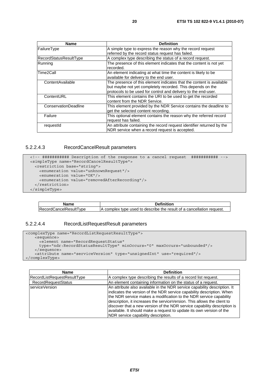| Name                        | <b>Definition</b>                                                     |
|-----------------------------|-----------------------------------------------------------------------|
| FailureType                 | A simple type to express the reason why the record request            |
|                             | referred by the record status request has failed.                     |
| RecordStatusResultType      | A complex type describing the status of a record request.             |
| Running                     | The presence of this element indicates that the content is not yet    |
|                             | recorded.                                                             |
| Time2Call                   | An element indicating at what time the content is likely to be        |
|                             | available for delivery to the end user.                               |
| ContentAvailable            | The presence of this element indicates that the content is available  |
|                             | but maybe not yet completely recorded. This depends on the            |
|                             | protocols to be used for control and delivery to the end-user.        |
| ContentURL                  | This element contains the URI to be used to get the recorded          |
|                             | content from the NDR Service.                                         |
| <b>ConservationDeadline</b> | This element provided by the NDR Service contains the deadline to     |
|                             | get the selected content recording.                                   |
| Failure                     | This optional element contains the reason why the referred record     |
|                             | request has failed.                                                   |
| requestId                   | An attribute containing the record request identifier returned by the |
|                             | NDR service when a record request is accepted.                        |

#### 5.2.2.4.3 RecordCancelResult parameters

```
 <!-- ########### Description of the response to a cancel request ########### --> 
 <simpleType name="RecordCancelResultType"> 
  <restriction base="string"> 
    <enumeration value="unknownRequest"/> 
    <enumeration value="OK"/> 
    <enumeration value="removedAfterRecording"/> 
   </restriction> 
 </simpleType>
```

| <b>Name</b>                   | <b>Definition</b>                                                     |
|-------------------------------|-----------------------------------------------------------------------|
| <b>RecordCancelResultType</b> | A complex type used to describe the result of a cancellation request. |

#### 5.2.2.4.4 RecordListRequestResult parameters

```
<complexType name="RecordListRequestResultType"> 
    <sequence> 
      <element name="RecordRequestStatus" 
      type="ndr:RecordStatusResultType" minOccurs="0" maxOccurs="unbounded"/> 
    </sequence> 
    <attribute name="serviceVersion" type="unsignedInt" use="required"/> 
</complexType>
```

| <b>Name</b>                 | <b>Definition</b>                                                                                                                                                                                                                                                                                                                                                                                                                                                                              |
|-----------------------------|------------------------------------------------------------------------------------------------------------------------------------------------------------------------------------------------------------------------------------------------------------------------------------------------------------------------------------------------------------------------------------------------------------------------------------------------------------------------------------------------|
| RecordListRequestResultType | A complex type describing the results of a record list request.                                                                                                                                                                                                                                                                                                                                                                                                                                |
| <b>RecordRequestStatus</b>  | An element containing information on the status of a request.                                                                                                                                                                                                                                                                                                                                                                                                                                  |
| serviceVersion              | An attribute also available in the NDR service capability description. It<br>indicates the version of the NDR service capability description. When<br>the NDR service makes a modification to the NDR service capability<br>description, it increases the serviceVersion. This allows the client to<br>discover that a new version of the NDR service capability description is<br>available. It should make a request to update its own version of the<br>NDR service capability description. |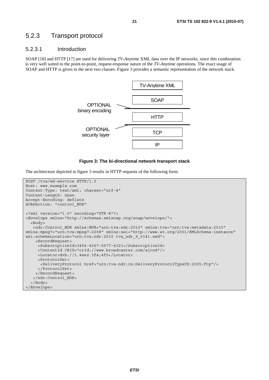### 5.2.3 Transport protocol

#### 5.2.3.1 Introduction

SOAP [18] and HTTP [17] are used for delivering *TV-Anytime* XML data over the IP networks, since this combination is very well suited to the point-to-point, request-response nature of the *TV-Anytime* operations. The exact usage of SOAP and HTTP is given in the next two clauses. Figure 3 provides a semantic representation of the network stack.



#### **Figure 3: The bi-directional network transport stack**

The architecture depicted in figure 3 results in HTTP requests of the following form.

```
POST /tva/md-service HTTP/1.0 
Host: www.example.com 
Content-Type: text/xml; charset="utf-8" 
Content-Length: nnnn 
Accept-Encoding: deflate 
SOAPAction: "control_NDR" 
<?xml version="1.0" encoding="UTF-8"?> 
<Envelope xmlns="http://schemas.xmlsoap.org/soap/envelope/"> 
   <Body> 
    <ndr:Control_NDR xmlns:NDR="urn:tva:ndr:2010" xmlns:tva="urn:tva:metadata:2010" 
xmlns:mpeg7="urn:tva:mpeg7:2008" xmlns:xsi="http://www.w3.org/2001/XMLSchema-instance" 
xsi:schemaLocation="urn:tva:ndr:2010 tva_ndr_9_v141.xsd"> 
     <RecordRequest> 
      <SubscriptionId>3456-4567-5677-4321</SubscriptionId> 
      <ContentId CRID="crid://www.broadcaster.com/ajcnd"/> 
      <Locator>dvb://1.4ee2.3fa;4f5</Locator> 
      <ProtocolSet> 
       <DeliveryProtocol href="urn:tva:ndr:cs:DeliveryProtocolTypeCS:2005:ftp"/> 
      </ProtocolSet> 
     </RecordRequest> 
    </ndr:Control_NDR> 
   </Body> 
</Envelope>
```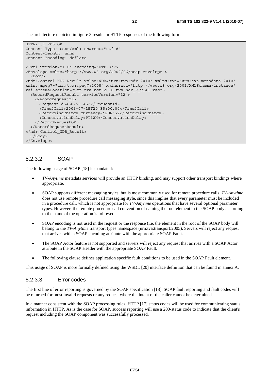The architecture depicted in figure 3 results in HTTP responses of the following form.

```
HTTP/1.1 200 OK 
Content-Type: text/xml; charset="utf-8" 
Content-Length: nnnn 
Content-Encoding: deflate 
<?xml version="1.0" encoding="UTF-8"?> 
<Envelope xmlns="http://www.w3.org/2002/06/soap-envelope"> 
   <Body> 
<ndr:Control_NDR_Result xmlns:NDR="urn:tva:ndr:2010" xmlns:tva="urn:tva:metadata:2010" 
xmlns:mpeg7="urn:tva:mpeg7:2008" xmlns:xsi="http://www.w3.org/2001/XMLSchema-instance" 
xsi:schemaLocation="urn:tva:ndr:2010 tva_ndr_9_v141.xsd"> 
   <RecordRequestResult serviceVersion="12"> 
    <RecordRequestOK> 
       <RequestId>45U753-452</RequestId> 
       <Time2Call>2009-07-15T20:35:00.00</Time2Call> 
      <RecordingCharge currency="EUR">2</RecordingCharge> 
      <ConservationDelay>PT12H</ConservationDelay> 
    </RecordRequestOK> 
   </RecordRequestResult> 
</ndr:Control_NDR_Result> 
  </Body> 
</Envelope>
```
#### 5.2.3.2 SOAP

The following usage of SOAP [18] is mandated:

- *TV-Anytime* metadata services will provide an HTTP binding, and may support other transport bindings where appropriate.
- SOAP supports different messaging styles, but is most commonly used for remote procedure calls. *TV-Anytime* does not use remote procedure call messaging style, since this implies that every parameter must be included in a procedure call, which is not appropriate for *TV-Anytime* operations that have several optional parameter types. However, the remote procedure call convention of naming the root element in the SOAP body according to the name of the operation is followed.
- SOAP encoding is not used in the request or the response (i.e. the element in the root of the SOAP body will belong to the *TV-Anytime* transport types namespace (urn:tva:transport:2005). Servers will reject any request that arrives with a SOAP encoding attribute with the appropriate SOAP Fault.
- The SOAP Actor feature is not supported and servers will reject any request that arrives with a SOAP Actor attribute in the SOAP Header with the appropriate SOAP Fault.
- The following clause defines application specific fault conditions to be used in the SOAP Fault element.

This usage of SOAP is more formally defined using the WSDL [20] interface definition that can be found in annex A.

#### 5.2.3.3 Error codes

The first line of error reporting is governed by the SOAP specification [18]. SOAP fault reporting and fault codes will be returned for most invalid requests or any request where the intent of the caller cannot be determined.

In a manner consistent with the SOAP processing rules, HTTP [17] status codes will be used for communicating status information in HTTP. As is the case for SOAP, success reporting will use a 200-status code to indicate that the client's request including the SOAP component was successfully processed.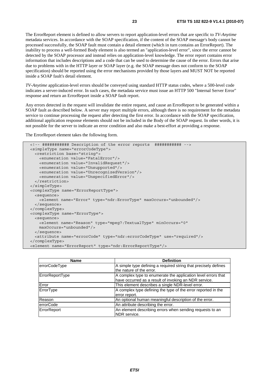The ErrorReport element is defined to allow servers to report application-level errors that are specific to *TV-Anytime* metadata services. In accordance with the SOAP specification, if the content of the SOAP message's body cannot be processed successfully, the SOAP fault must contain a detail element (which in turn contains an ErrorReport). The inability to process a well-formed Body element is also termed an "application-level error", since the error cannot be detected by the SOAP processor and instead relies on application-level knowledge. The error report contains error information that includes descriptions and a code that can be used to determine the cause of the error. Errors that arise due to problems with in the HTTP layer or SOAP layer (e.g. the SOAP message does not conform to the SOAP specification) should be reported using the error mechanisms provided by those layers and MUST NOT be reported inside a SOAP fault's detail element.

*TV-Anytime* application-level errors should be conveyed using standard HTTP status codes, where a 500-level code indicates a server-induced error. In such cases, the metadata service must issue an HTTP 500 "Internal Server Error" response and return an ErrorReport inside a SOAP fault report.

Any errors detected in the request will invalidate the entire request, and cause an ErrorReport to be generated within a SOAP fault as described below. A server may report multiple errors, although there is no requirement for the metadata service to continue processing the request after detecting the first error. In accordance with the SOAP specification, additional application response elements should not be included in the Body of the SOAP request. In other words, it is not possible for the server to indicate an error condition and also make a best-effort at providing a response.

The ErrorReport element takes the following form.

```
 <!-- ########### Description of the error reports ########### --> 
 <simpleType name="errorCodeType"> 
  <restriction base="string"> 
    <enumeration value="FatalError"/> 
    <enumeration value="InvalidRequest"/> 
    <enumeration value="Unsupported"/> 
    <enumeration value="UnrecognizedVersion"/> 
     <enumeration value="UnspecifiedError"/> 
  </restriction> 
 </simpleType> 
 <complexType name="ErrorReportType"> 
   <sequence> 
     <element name="Error" type="ndr:ErrorType" maxOccurs="unbounded"/> 
  </sequence> 
 </complexType> 
 <complexType name="ErrorType"> 
  <sequence> 
    <element name="Reason" type="mpeg7:TextualType" minOccurs="0" 
    maxOccurs="unbounded"/> 
  </sequence> 
   <attribute name="errorCode" type="ndr:errorCodeType" use="required"/> 
 </complexType> 
 <element name="ErrorReport" type="ndr:ErrorReportType"/>
```

| <b>Name</b>      | <b>Definition</b>                                                                                                      |
|------------------|------------------------------------------------------------------------------------------------------------------------|
| errorCodeType    | A simple type defining a required string that precisely defines<br>the nature of the error.                            |
| ErrorReportType  | A complex type to enumerate the application level errors that<br>have occurred as a result of invoking an NDR service. |
| Error            | This element describes a single NDR-level error.                                                                       |
| ErrorType        | A complex type defining the type of the error reported in the<br>error report.                                         |
| Reason           | An optional human meaningful description of the error.                                                                 |
| <b>errorCode</b> | An attribute describing the error.                                                                                     |
| ErrorReport      | An element describing errors when sending requests to an<br>NDR service.                                               |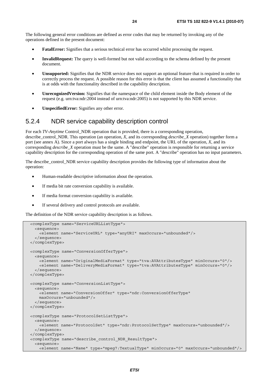The following general error conditions are defined as error codes that may be returned by invoking any of the operations defined in the present document:

- **FatalError:** Signifies that a serious technical error has occurred whilst processing the request.
- **InvalidRequest:** The query is well-formed but not valid according to the schema defined by the present document.
- **Unsupported:** Signifies that the NDR service does not support an optional feature that is required in order to correctly process the request. A possible reason for this error is that the client has assumed a functionality that is at odds with the functionality described in the capability description.
- **UnrecognizedVersion:** Signifies that the namespace of the child element inside the Body element of the request (e.g. urn:tva:ndr:2004 instead of urn:tva:ndr:2005) is not supported by this NDR service.
- **UnspecifiedError:** Signifies any other error.

### 5.2.4 NDR service capability description control

For each *TV-Anytime* Control\_NDR operation that is provided, there is a corresponding operation, describe control NDR. This operation (an operation, *X*, and its corresponding *describe* X operation) together form a port (see annex A). Since a port always has a single binding and endpoint, the URL of the operation, *X*, and its corresponding *describe\_X* operation must be the same. A "describe" operation is responsible for returning a service capability description for the corresponding operation of the same port. A "describe" operation has no input parameters.

The describe control NDR service capability description provides the following type of information about the operation:

- Human-readable descriptive information about the operation.
- If media bit rate conversion capability is available.
- If media format conversion capability is available.
- If several delivery and control protocols are available.

The definition of the NDR service capability description is as follows.

```
 <complexType name="ServiceURLListType"> 
   <sequence> 
    <element name="ServiceURL" type="anyURI" maxOccurs="unbounded"/> 
   </sequence> 
 </complexType> 
 <complexType name="ConversionOfferType"> 
  <sequence> 
    <element name="OriginalMediaFormat" type="tva:AVAttributesType" minOccurs="0"/> 
     <element name="DeliveryMediaFormat" type="tva:AVAttributesType" minOccurs="0"/> 
   </sequence> 
 </complexType> 
 <complexType name="ConversionListType"> 
  <sequence> 
    <element name="ConversionOffer" type="ndr:ConversionOfferType" 
    maxOccurs="unbounded"/> 
  </sequence> 
 </complexType> 
 <complexType name="ProtocolSetListType"> 
  <sequence> 
    <element name="ProtocolSet" type="ndr:ProtocolSetType" maxOccurs="unbounded"/> 
  </sequence> 
 </complexType> 
 <complexType name="describe_control_NDR_ResultType"> 
   <sequence> 
    <element name="Name" type="mpeg7:TextualType" minOccurs="0" maxOccurs="unbounded"/>
```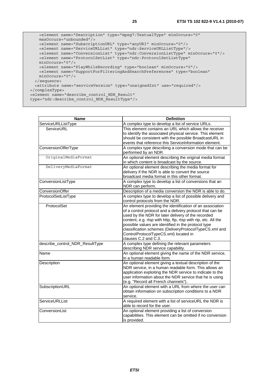```
 <element name="Description" type="mpeg7:TextualType" minOccurs="0" 
      maxOccurs="unbounded"/> 
      <element name="SubscriptionURL" type="anyURI" minOccurs="0"/> 
      <element name="ServiceURLList" type="ndr:ServiceURLListType"/> 
 <element name="ConversionList" type="ndr:ConversionListType" minOccurs="0"/> 
 <element name="ProtocolSetList" type="ndr:ProtocolSetListType" 
      minOccurs="0"/> 
      <element name="PlayWhileRecording" type="boolean" minOccurs="0"/> 
      <element name="SupportForFilteringAndSearchPreferences" type="boolean" 
      minOccurs="0"/> 
    </sequence> 
    <attribute name="serviceVersion" type="unsignedInt" use="required"/> 
  </complexType> 
  <element name="describe_control_NDR_Result"
```

```
 type="ndr:describe_control_NDR_ResultType"/>
```

| <b>Name</b>                     | <b>Definition</b>                                                                                                                                                                                                                                                                                                                                                                                                                |
|---------------------------------|----------------------------------------------------------------------------------------------------------------------------------------------------------------------------------------------------------------------------------------------------------------------------------------------------------------------------------------------------------------------------------------------------------------------------------|
| ServiceURLListType              | A complex type to develop a list of service URLs.                                                                                                                                                                                                                                                                                                                                                                                |
| ServiceURL                      | This element contains an URL which allows the receiver<br>to identify the associated physical service. This element<br>should be consistent with the possible BroadcastURL in<br>events that reference this ServiceInformation element.                                                                                                                                                                                          |
| ConversionOfferType             | A complex type describing a conversion mode that can be<br>performed by an NDR.                                                                                                                                                                                                                                                                                                                                                  |
| OriginalMediaFormat             | An optional element describing the original media format<br>in which content is broadcast by the source.                                                                                                                                                                                                                                                                                                                         |
| DeliveryMediaFormat             | An optional element describing the media format for<br>delivery if the NDR is able to convert the source<br>broadcast media format in this other format.                                                                                                                                                                                                                                                                         |
| ConversionListType              | A complex type to develop a list of conversions that an<br>NDR can perform.                                                                                                                                                                                                                                                                                                                                                      |
| ConversionOffer                 | Description of a media conversion the NDR is able to do.                                                                                                                                                                                                                                                                                                                                                                         |
| ProtocolSetListType             | A complex type to develop a list of possible delivery and<br>control protocols from the NDR.                                                                                                                                                                                                                                                                                                                                     |
| ProtocolSet                     | An element providing the identification of an association<br>of a control protocol and a delivery protocol that can be<br>used by the NDR for later delivery of the recorded<br>content, e.g. rtsp with http, ftp, rtsp with rtp, etc. All the<br>possible values are identified in the protocol type<br>classification schemes (DeliveryProtocolTypeCS.xml and<br>ControlProtocolTypeCS.xml) located in<br>clauses C.2 and C.3. |
| describe_control_NDR_ResultType | A complex type defining the relevant parameters<br>describing NDR service capability.                                                                                                                                                                                                                                                                                                                                            |
| Name                            | An optional element giving the name of the NDR service,<br>in a human readable form.                                                                                                                                                                                                                                                                                                                                             |
| Description                     | An optional element giving a textual description of the<br>NDR service, in a human readable form. This allows an<br>application exploiting the NDR service to indicate to the<br>user information about the NDR service that he is using<br>(e.g. "Record all French channels").                                                                                                                                                 |
| SubscriptionURL                 | An optional element with a URL from where the user can<br>obtain information on subscription conditions to a NDR<br>service.                                                                                                                                                                                                                                                                                                     |
| ServiceURLList                  | A required element with a list of serviceURL the NDR is<br>able to record for the user.                                                                                                                                                                                                                                                                                                                                          |
| ConversionList                  | An optional element providing a list of conversion<br>capabilities. This element can be omitted if no conversion<br>is provided.                                                                                                                                                                                                                                                                                                 |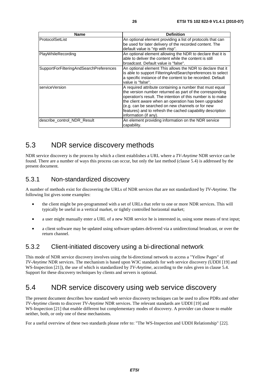| <b>Name</b>                             | <b>Definition</b>                                                                                                     |
|-----------------------------------------|-----------------------------------------------------------------------------------------------------------------------|
| ProtocolSetList                         | An optional element providing a list of protocols that can<br>be used for later delivery of the recorded content. The |
|                                         | default value is "rtp with rtsp".                                                                                     |
| PlayWhileRecording                      | An optional element allowing the NDR to declare that it is                                                            |
|                                         | able to deliver the content while the content is still                                                                |
|                                         | broadcast. Default value is "false".                                                                                  |
| SupportForFilteringAndSearchPreferences | An optional element This allows the NDR to declare that it                                                            |
|                                         | is able to support Filtering And Search preferences to select                                                         |
|                                         | a specific instance of the content to be recorded. Default                                                            |
|                                         | value is "false".                                                                                                     |
| serviceVersion                          | A required attribute containing a number that must equal                                                              |
|                                         | the version number returned as part of the corresponding                                                              |
|                                         | operation's result. The intention of this number is to make                                                           |
|                                         | the client aware when an operation has been upgraded                                                                  |
|                                         | (e.g. can be searched on new channels or for new                                                                      |
|                                         | features) and to refresh the cached capability description                                                            |
|                                         | information (if any).                                                                                                 |
| describe control NDR Result             | An element providing information on the NDR service                                                                   |
|                                         | capability.                                                                                                           |

### 5.3 NDR service discovery methods

NDR service discovery is the process by which a client establishes a URL where a *TV-Anytime* NDR service can be found. There are a number of ways this process can occur, but only the last method (clause 5.4) is addressed by the present document.

### 5.3.1 Non-standardized discovery

A number of methods exist for discovering the URLs of NDR services that are not standardized by *TV-Anytime*. The following list gives some examples:

- the client might be pre-programmed with a set of URLs that refer to one or more NDR services. This will typically be useful in a vertical market, or tightly controlled horizontal market;
- a user might manually enter a URL of a new NDR service he is interested in, using some means of text input;
- a client software may be updated using software updates delivered via a unidirectional broadcast, or over the return channel.

### 5.3.2 Client-initiated discovery using a bi-directional network

This mode of NDR service discovery involves using the bi-directional network to access a "Yellow Pages" of *TV-Anytime* NDR services. The mechanism is based upon W3C standards for web service discovery (UDDI [19] and WS*-*Inspection [21]), the use of which is standardized by *TV-Anytime*, according to the rules given in clause 5.4. Support for these discovery techniques by clients and servers is optional.

### 5.4 NDR service discovery using web service discovery

The present document describes how standard web service discovery techniques can be used to allow PDRs and other *TV-Anytime* clients to discover *TV-Anytime* NDR services. The relevant standards are UDDI [19] and WS*-*Inspection [21] that enable different but complementary modes of discovery. A provider can choose to enable neither, both, or only one of these mechanisms.

For a useful overview of these two standards please refer to: "The WS-Inspection and UDDI Relationship" [22].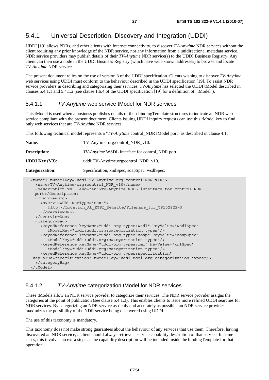### 5.4.1 Universal Description, Discovery and Integration (UDDI)

UDDI [19] allows PDRs, and other clients with Internet connectivity, to discover *TV-Anytime* NDR services without the client requiring any prior knowledge of the NDR service, nor any information from a unidirectional metadata service. NDR service providers may publish details of their *TV-Anytime* NDR service(s) to the UDDI Business Registry. Any client can then use a node in the UDDI Business Registry (which have well-known addresses) to browse and locate *TV-Anytime* NDR services.

The present document relies on the use of version 3 of the UDDI specification. Clients wishing to discover *TV-Anytime* web services using UDDI must conform to the behaviour described in the UDDI specification [19]. To assist NDR service providers in describing and categorizing their services, *TV-Anytime* has selected the UDDI tModel described in clauses 5.4.1.1 and 5.4.1.2 (see clause 1.6.4 of the UDDI specification [19] for a definition of "tModel").

#### 5.4.1.1 *TV-Anytime* web service tModel for NDR services

This tModel is used when a business publishes details of their bindingTemplate structures to indicate an NDR web service compliant with the present document. Clients issuing UDDI inquiry requests can use this tModel key to find only web services that are *TV-Anytime* NDR services.

This following technical model represents a "*TV-Anytime* control\_NDR tModel port" as described in clause 4.1.

| Name:                                                                                                                                                                                                             | TV-Anytime-org:control_NDR_v10.                        |
|-------------------------------------------------------------------------------------------------------------------------------------------------------------------------------------------------------------------|--------------------------------------------------------|
| <b>Description:</b>                                                                                                                                                                                               | <i>TV-Anytime</i> WSDL interface for control NDR port. |
| <b>UDDI</b> Key $(V3)$ :                                                                                                                                                                                          | uddi:TV-Anytime.org:control_NDR_v10.                   |
| Categorization:                                                                                                                                                                                                   | Specification, xmlSpec, soapSpec, wsdlSpec.            |
| <tmodel tmodelkey="uddi:TV-Anytime.org:control NDR v10"><br/><name>TV-Anytime-org:control NDR v10</name><br/><description xml:lanq="en">TV-Anytime WSDL interface for control NDR<br/>port</description></tmodel> |                                                        |

```
 <overviewDoc> 
     <overviewURL useType="text"> 
        http://Location_At_ETSI_Website/Filename_for_TS102822-9 
     </overviewURL> 
   </overviewDoc> 
   <categoryBag> 
     <keyedReference keyName="uddi-org:types:wsdl" keyValue="wsdlSpec" 
        tModelKey="uddi:uddi.org:categorization:types"/> 
     <keyedReference keyName="uddi-org:types:soap" keyValue="soapSpec" 
        tModelKey="uddi:uddi.org:categorization:types"/> 
     <keyedReference keyName="uddi-org:types:xml" keyValue="xmlSpec" 
        tModelKey="uddi:uddi.org:categorization:types"/> 
     <keyedReference keyName="uddi-org:types:specification" 
 keyValue="specification" tModelKey="uddi:uddi.org:categorization:types"/> 
   </categoryBag> 
 </tModel>
```
#### 5.4.1.2 *TV-Anytime* categorization tModel for NDR services

These tModels allow an NDR service provider to categorize their services. The NDR service provider assigns the categories at the point of publication (see clause 5.4.1.3). This enables clients to issue more refined UDDI searches for NDR services. By categorizing an NDR service as richly and accurately as possible, an NDR service provider maximizes the possibility of the NDR service being discovered using UDDI.

The use of this taxonomy is mandatory.

This taxonomy does not make strong guarantees about the behaviour of any services that use them. Therefore, having discovered an NDR service, a client should always retrieve a service capability description of that service. In some cases, this involves no extra steps as the capability description will be included inside the bindingTemplate for that operation.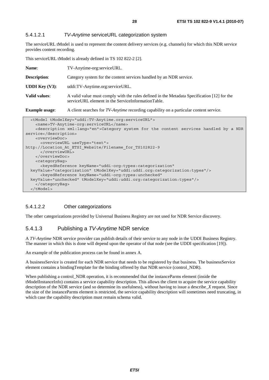#### 5.4.1.2.1 *TV-Anytime* serviceURL categorization system

The serviceURL tModel is used to represent the content delivery services (e.g. channels) for which this NDR service provides content recording.

This serviceURL tModel is already defined in TS 102 822-2 [2].

| Name:                    | TV-Anytime-org:serviceURL.                                                                                                                        |  |
|--------------------------|---------------------------------------------------------------------------------------------------------------------------------------------------|--|
| <b>Description:</b>      | Category system for the content services handled by an NDR service.                                                                               |  |
| <b>UDDI</b> Key $(V3)$ : | uddi:TV-Anytime.org:serviceURL.                                                                                                                   |  |
| Valid values:            | A valid value must comply with the rules defined in the Metadata Specification [12] for the<br>serviceURL element in the ServiceInformationTable. |  |
| <b>Example usage:</b>    | A client searches for <i>TV-Anytime</i> recording capability on a particular content service.                                                     |  |

| <tmodel tmodelkey="uddi:TV-Anytime.org:serviceURL"></tmodel>                                       |
|----------------------------------------------------------------------------------------------------|
| <name>TV-Anytime-org:serviceURL</name>                                                             |
| <description xml:lang="en">Category system for the content services handled by a NDR</description> |
| service                                                                                            |
| <overviewdoc></overviewdoc>                                                                        |
| <overviewurl usetype="text"></overviewurl>                                                         |
| http://Location At ETSI Website/Filename for TS102822-9                                            |
|                                                                                                    |
|                                                                                                    |
| <categorybag></categorybag>                                                                        |
| <keyedreference <="" keyname="uddi-org:types:categorization" td=""></keyedreference>               |
| keyValue="categorization" tModelKey="uddi:uddi.org:categorization:types"/>                         |
| <keyedreference <="" keyname="uddi-org:types:unchecked" td=""></keyedreference>                    |
| keyValue="unchecked" tModelKey="uddi:uddi.org:categorization:types"/>                              |
|                                                                                                    |
| $\langle$ /tModel>                                                                                 |

#### 5.4.1.2.2 Other categorizations

The other categorizations provided by Universal Business Registry are not used for NDR Service discovery.

#### 5.4.1.3 Publishing a *TV-Anytime* NDR service

A *TV-Anytime* NDR service provider can publish details of their service to any node in the UDDI Business Registry. The manner in which this is done will depend upon the operator of that node (see the UDDI specification [19]).

An example of the publication process can be found in annex A.

A businessService is created for each NDR service that needs to be registered by that business. The businessService element contains a bindingTemplate for the binding offered by that NDR service (control\_NDR).

When publishing a control\_NDR operation, it is recommended that the instanceParms element (inside the tModelInstanceInfo) contains a service capability description. This allows the client to acquire the service capability description of the NDR service (and so determine its usefulness), without having to issue a describe\_*X* request. Since the size of the instanceParms element is restricted, the service capability description will sometimes need truncating, in which case the capability description must remain schema valid.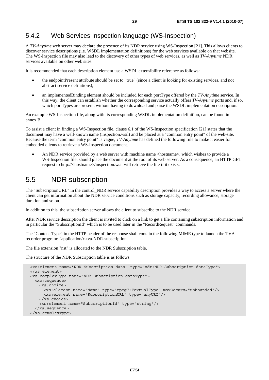### 5.4.2 Web Services Inspection language (WS-Inspection)

A *TV-Anytime* web server may declare the presence of its NDR service using WS-Inspection [21]. This allows clients to discover service descriptions (i.e. WSDL implementation definitions) for the web services available on that website. The WS-Inspection file may also lead to the discovery of other types of web services, as well as *TV-Anytime* NDR services available on other web sites.

It is recommended that each description element use a WSDL extensibility reference as follows:

- the endpointPresent attribute should be set to "true" (since a client is looking for existing services, and not abstract service definitions);
- an implementedBinding element should be included for each portType offered by the *TV-Anytime* service. In this way, the client can establish whether the corresponding service actually offers *TV-Anytime* ports and, if so, which portTypes are present, without having to download and parse the WSDL implementation description.

An example WS-Inspection file, along with its corresponding WSDL implementation definition, can be found in annex B.

To assist a client in finding a WS-Inspection file, clause 6.1 of the WS-Inspection specification [21] states that the document may have a well-known name (inspection.wsil) and be placed at a "common entry point" of the web-site. Because the term "common entry point" is vague, *TV-Anytime* has defined the following rule to make it easier for embedded clients to retrieve a WS-Inspection document.

An NDR service provided by a web server with machine name <hostname>, which wishes to provide a WS*-*Inspection file, should place the document at the root of its web server. As a consequence, an HTTP GET request to http://<hostname>/inspection.wsil will retrieve the file if it exists.

### 5.5 NDR subscription

The "SubscriptionURL" in the control\_NDR service capability description provides a way to access a server where the client can get information about the NDR service conditions such as storage capacity, recording allowance, storage duration and so on.

In addition to this, the subscription server allows the client to subscribe to the NDR service.

After NDR service description the client is invited to click on a link to get a file containing subscription information and in particular the "SubscriptionId" which is to be used later in the "RecordRequest" commands.

The "Content-Type" in the HTTP header of the response shall contain the following MIME type to launch the TVA recorder program: "application/x-tva-NDR-subscription".

The file extension "nst" is allocated to the NDR Subscription table.

The structure of the NDR Subscription table is as follows.

```
 <xs:element name="NDR_Subscription_data" type="ndr:NDR_Subscription_dataType"> 
 </xs:element> 
 <xs:complexType name="NDR_Subscription_dataType"> 
  <xs:sequence> 
    <xs:choice> 
      <xs:element name="Name" type="mpeg7:TextualType" maxOccurs="unbounded"/> 
      <xs:element name="SubscriptionURL" type="anyURI"/> 
    </xs:choice> 
     <xs:element name="SubscriptionId" type="string"/> 
  </xs:sequence> 
 </xs:complexType>
```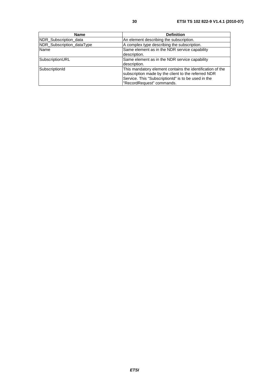| <b>Name</b>               | <b>Definition</b>                                                                                                                                                                                    |
|---------------------------|------------------------------------------------------------------------------------------------------------------------------------------------------------------------------------------------------|
| NDR_Subscription_data     | An element describing the subscription.                                                                                                                                                              |
| NDR Subscription dataType | A complex type describing the subscription.                                                                                                                                                          |
| <b>Name</b>               | Same element as in the NDR service capability<br>description.                                                                                                                                        |
| SubscriptionURL           | Same element as in the NDR service capability<br>description.                                                                                                                                        |
| SubscriptionId            | This mandatory element contains the identification of the<br>subscription made by the client to the referred NDR<br>Service. This "SubscriptionId" is to be used in the<br>"RecordRequest" commands. |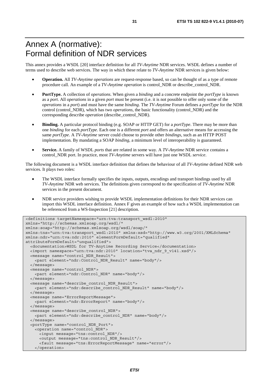# Annex A (normative): Formal definition of NDR services

This annex provides a WSDL [20] interface definition for all *TV-Anytime* NDR services. WSDL defines a number of terms used to describe web services. The way in which these relate to *TV-Anytime* NDR services is given below:

- **Operation.** All *TV-Anytime operations* are request-response based, so can be thought of as a type of remote procedure call. An example of a *TV-Anytime operation* is control\_NDR or describe\_control\_NDR.
- **PortType.** A collection of *operations*. When given a *binding* and a concrete endpoint the *portType* is known as a *port*. All *operations* in a given *port* must be present (i.e. it is not possible to offer only some of the *operations* in a *port*) and must have the same *binding*. The *TV-Anytime* Forum defines a *portType* for the NDR control (control\_NDR), which has two *operations*, the basic functionality (control\_NDR) and the corresponding describe *operation* (describe\_control\_NDR).
- **Binding.** A particular protocol binding (e.g. SOAP or HTTP GET) for a *portType*. There may be more than one *binding* for each *portType*. Each one is a different *port* and offers an alternative means for accessing the same *portType*. A *TV-Anytime* server could choose to provide other *bindings*, such as an HTTP POST implementation. By mandating a SOAP *binding*, a minimum level of interoperability is guaranteed.
- **Service.** A family of WSDL *ports* that are related in some way. A *TV-Anytime* NDR service contains a control\_NDR port. In practice, most *TV-Anytime* servers will have just one WSDL *service*.

The following document is a WSDL interface definition that defines the behaviour of all *TV-Anytime* defined NDR web services. It plays two roles:

- The WSDL interface formally specifies the inputs, outputs, encodings and transport bindings used by all *TV-Anytime* NDR web services. The definitions given correspond to the specification of *TV-Anytime* NDR services in the present document.
- NDR service providers wishing to provide WSDL implementation definitions for their NDR services can import this WSDL interface definition. Annex F gives an example of how such a WSDL implementation can be referenced from a WS-Inspection [21] description.

```
<definitions targetNamespace="urn:tva:transport_wsdl:2010" 
xmlns="http://schemas.xmlsoap.org/wsdl/" 
xmlns:soap="http://schemas.xmlsoap.org/wsdl/soap/" 
xmlns:tns="urn:tva:transport_wsdl:2010" xmlns:xsd="http://www.w3.org/2001/XMLSchema" 
xmlns:ndr="urn:tva:ndr:2010" elementFormDefault="qualified" 
attributeFormDefault="unqualified"> 
   <documentation>WSDL for TV-Anytime Recording Service</documentation> 
   <import namespace="urn:tva:ndr:2010" location="tva_ndr_9_v141.xsd"/> 
   <message name="control_NDR_Result"> 
     <part element="ndr:Control_NDR_Result" name="body"/> 
   </message> 
   <message name="control_NDR"> 
    <part element="ndr:Control_NDR" name="body"/> 
   </message> 
   <message name="describe_control_NDR_Result"> 
    <part element="ndr:describe_control_NDR_Result" name="body"/> 
   </message> 
   <message name="ErrorReportMessage"> 
     <part element="ndr:ErrorReport" name="body"/> 
   </message> 
   <message name="describe_control_NDR"> 
    <part element="ndr:describe_control_NDR" name="body"/> 
   </message> 
   <portType name="control_NDR_Port"> 
    <operation name="control_NDR"> 
      <input message="tns:control_NDR"/> 
      <output message="tns:control_NDR_Result"/> 
       <fault message="tns:ErrorReportMessage" name="error"/> 
    </operation>
```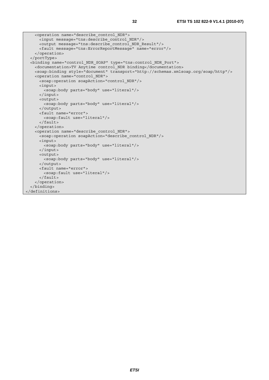```
 <operation name="describe_control_NDR"> 
      <input message="tns:describe_control_NDR"/> 
      <output message="tns:describe_control_NDR_Result"/> 
      <fault message="tns:ErrorReportMessage" name="error"/> 
    </operation> 
   </portType> 
  <binding name="control_NDR_SOAP" type="tns:control_NDR_Port"> 
    <documentation>TV Anytime control_NDR binding</documentation> 
    <soap:binding style="document" transport="http://schemas.xmlsoap.org/soap/http"/> 
    <operation name="control_NDR"> 
      <soap:operation soapAction="control_NDR"/> 
      <input> 
        <soap:body parts="body" use="literal"/> 
      </input> 
      <output> 
        <soap:body parts="body" use="literal"/> 
      </output> 
      <fault name="error"> 
        <soap:fault use="literal"/> 
      </fault> 
    </operation> 
    <operation name="describe_control_NDR"> 
     -<br><soap:operation soapAction="describe control NDR"/>
      <input> 
       <soap:body parts="body" use="literal"/>
      </input> 
      <output> 
        <soap:body parts="body" use="literal"/> 
      </output> 
      <fault name="error"> 
        <soap:fault use="literal"/> 
      </fault> 
     </operation> 
   </binding> 
</definitions>
```
*ETSI*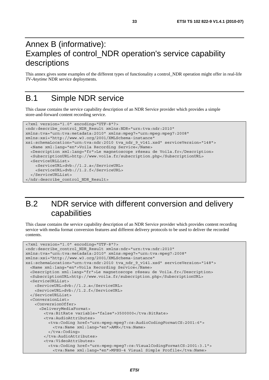# Annex B (informative): Examples of control\_NDR operation's service capability descriptions

This annex gives some examples of the different types of functionality a control\_NDR operation might offer in real*-*life *TV-Anytime* NDR service deployments.

# B.1 Simple NDR service

This clause contains the service capability description of an NDR Service provider which provides a simple store*-*and*-*forward content recording service.

```
<?xml version="1.0" encoding="UTF-8"?> 
<ndr:describe_control_NDR_Result xmlns:NDR="urn:tva:ndr:2010" 
xmlns:tva="urn:tva:metadata:2010" xmlns:mpeg7="urn:mpeg:mpeg7:2008" 
xmlns:xsi="http://www.w3.org/2001/XMLSchema-instance" 
xsi:schemaLocation="urn:tva:ndr:2010 tva_ndr_9_v141.xsd" serviceVersion="148"> 
   <Name xml:lang="en">Voila Recording Service</Name> 
   <Description xml:lang="fr">Le magnetoscope réseau de Voila.fr</Description> 
   <SubscriptionURL>http://www.voila.fr/subscription.php</SubscriptionURL> 
   <ServiceURLList> 
     <ServiceURL>dvb://1.2.a</ServiceURL> 
     <ServiceURL>dvb://1.2.f</ServiceURL> 
   </ServiceURLList> 
</ndr:describe_control_NDR_Result>
```
# B.2 NDR service with different conversion and delivery capabilities

This clause contains the service capability description of an NDR Service provider which provides content recording service with media format conversion features and different delivery protocols to be used to deliver the recorded contents.

```
<?xml version="1.0" encoding="UTF-8"?> 
<ndr:describe_control_NDR_Result xmlns:ndr="urn:tva:ndr:2010" 
xmlns:tva="urn:tva:metadata:2010" xmlns:mpeg7="urn:tva:mpeg7:2008" 
xmlns:xsi="http://www.w3.org/2001/XMLSchema-instance" 
xsi:schemaLocation="urn:tva:ndr:2010 tva_ndr_9_v141.xsd" serviceVersion="148"> 
   <Name xml:lang="en">Voila Recording Service</Name> 
   <Description xml:lang="fr">Le magnetoscope réseau de Voila.fr</Description> 
   <SubscriptionURL>http://www.voila.fr/subscription.php</SubscriptionURL> 
   <ServiceURLList> 
     <ServiceURL>dvb://1.2.a</ServiceURL> 
     <ServiceURL>dvb://1.2.f</ServiceURL> 
   </ServiceURLList> 
   <ConversionList> 
    <ConversionOffer> 
       <DeliveryMediaFormat> 
        <tva:BitRate variable="false">3500000</tva:BitRate> 
        <tva:AudioAttributes> 
          <tva:Coding href="urn:mpeg:mpeg7:cs:AudioCodingFormatCS:2001:6"> 
            <tva:Name xml:lang="en">AMR</tva:Name> 
           </tva:Coding> 
         </tva:AudioAttributes> 
         <tva:VideoAttributes> 
          <tva:Coding href="urn:mpeg:mpeg7:cs:VisualCodingFormatCS:2001:3.1"> 
            <tva:Name xml:lang="en">MPEG-4 Visual Simple Profile</tva:Name>
```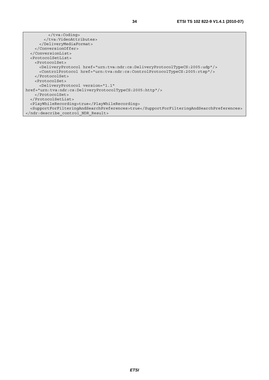</tva:Coding> </tva:VideoAttributes> </DeliveryMediaFormat> </ConversionOffer> </ConversionList> <ProtocolSetList> <ProtocolSet> <DeliveryProtocol href="urn:tva:ndr:cs:DeliveryProtocolTypeCS:2005:udp"/> <ControlProtocol href="urn:tva:ndr:cs:ControlProtocolTypeCS:2005:rtsp"/> </ProtocolSet> <ProtocolSet> <DeliveryProtocol version="1.1" href="urn:tva:ndr:cs:DeliveryProtocolTypeCS:2005:http"/> </ProtocolSet> </ProtocolSetList> <PlayWhileRecording>true</PlayWhileRecording> <SupportForFilteringAndSearchPreferences>true</SupportForFilteringAndSearchPreferences> </ndr:describe\_control\_NDR\_Result>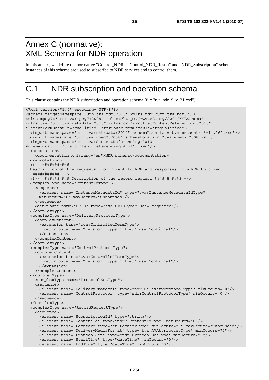# Annex C (normative): XML Schema for NDR operation

In this annex, we define the normative "Control\_NDR", "Control\_NDR\_Result" and "NDR\_Subscription" schemas. Instances of this schema are used to subscribe to NDR services and to control them.

# C.1 NDR subscription and operation schema

This clause contains the NDR subscription and operation schema (file "tva\_ndr\_9\_v121.xsd").

```
<?xml version="1.0" encoding="UTF-8"?> 
<schema targetNamespace="urn:tva:ndr:2010" xmlns:ndr="urn:tva:ndr:2010" 
xmlns:mpeg7="urn:tva:mpeg7:2008" xmlns="http://www.w3.org/2001/XMLSchema" 
xmlns:tva="urn:tva:metadata:2010" xmlns:cr="urn:tva:ContentReferencing:2010" 
elementFormDefault="qualified" attributeFormDefault="unqualified"> 
  <import namespace="urn:tva:metadata:2010" schemaLocation="tva_metadata_3-1_v161.xsd"/> 
  <import namespace="urn:tva:mpeg7:2008" schemaLocation="tva_mpeg7_2008.xsd"/> 
   <import namespace="urn:tva:ContentReferencing:2010" 
schemaLocation="tva_content_referencing_4_v151.xsd"/> 
   <annotation> 
    <documentation xml:lang="en">NDR schema</documentation> 
   </annotation> 
   <!-- ########### 
  Description of the requests from client to NDR and responses from NDR to client 
   ########### --> 
   <!-- ########### Description of the record request ########### --> 
   <complexType name="ContentIdType"> 
    <sequence> 
      <element name="InstanceMetadataId" type="tva:InstanceMetadataIdType" 
      minOccurs="0" maxOccurs="unbounded"/> 
    </sequence> 
    <attribute name="CRID" type="tva:CRIDType" use="required"/> 
   </complexType> 
   <complexType name="DeliveryProtocolType"> 
    <complexContent> 
      <extension base="tva:ControlledTermType"> 
        <attribute name="version" type="float" use="optional"/> 
       </extension> 
    </complexContent> 
   </complexType> 
   <complexType name="ControlProtocolType"> 
    <complexContent> 
      <extension base="tva:ControlledTermType"> 
         <attribute name="version" type="float" use="optional"/> 
       </extension> 
     </complexContent> 
   </complexType> 
    <complexType name="ProtocolSetType"> 
    <sequence> 
      <element name="DeliveryProtocol" type="ndr:DeliveryProtocolType" minOccurs="0"/> 
       <element name="ControlProtocol" type="ndr:ControlProtocolType" minOccurs="0"/> 
     </sequence> 
   </complexType> 
   <complexType name="RecordRequestType"> 
     <sequence> 
      <element name="SubscriptionId" type="string"/> 
       <element name="ContentId" type="ndrR:ContentIdType" minOccurs="0"/> 
      <element name="Locator" type="cr:LocatorType" minOccurs="0" maxOccurs="unbounded"/> 
      <element name="DeliveryMediaFormat" type="tva:AVAttributesType" minOccurs="0"/> 
      <element name="ProtocolSet" type="ndr:ProtocolSetType" minOccurs="0"/> 
      <element name="StartTime" type="dateTime" minOccurs="0"/> 
       <element name="EndTime" type="dateTime" minOccurs="0"/>
```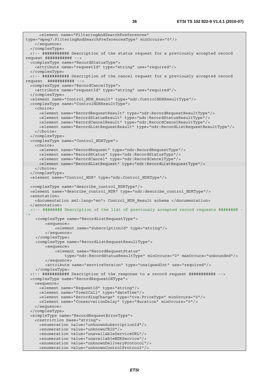```
 <element name="FilteringAndSearchPreferences" 
type="mpeg7:FilteringAndSearchPreferencesType" minOccurs="0"/> 
    </sequence> 
  </complexType> 
  <!-- ########### Description of the status request for a previously accepted record 
request ########### --> 
  <complexType name="RecordStatusType"> 
    <attribute name="requestId" type="string" use="required"/> 
  </complexType> 
  <!-- ########### Description of the cancel request for a previously accepted record 
request ########### --> 
  <complexType name="RecordCancelType"> 
    <attribute name="requestId" type="string" use="required"/> 
  </complexType> 
  <element name="Control_NDR_Result" type="ndr:ControlNDRResultType"/> 
  <complexType name="ControlNDRResultType"> 
    <choice> 
      <element name="RecordRequestResult" type="ndr:RecordRequestResultType"/> 
      <element name="RecordStatusResult" type="ndr:RecordStatusResultType"/> 
      <element name="RecordCancelResult" type="ndr:RecordCancelResultType"/> 
      <element name="RecordListRequestResult" type="ndr:RecordListRequestResultType"/> 
    </choice> 
   </complexType> 
  <complexType name="Control_NDRType"> 
    <choice> 
      <element name="RecordRequest" type="ndr:RecordRequestType"/> 
      <element name="RecordStatus" type="ndr:RecordStatusType"/> 
      <element name="RecordCancel" type="ndr:RecordCancelType"/> 
      <element name="RecordListRequest" type="ndr:RecordListRequestType"/> 
    </choice> 
   </complexType> 
  <element name="Control_NDR" type="ndr:Control_NDRType"/> 
  <complexType name="describe_control_NDRType"/> 
  <element name="describe_control_NDR" type="ndr:describe_control_NDRType"/> 
  <annotation> 
    <documentation xml:lang="en"> Control_NDR_Result schema </documentation> 
   </annotation> 
   <!-- ######## Description of the list of previously accepted record requests ######## -
->
     <complexType name="RecordListRequestType"> 
         <sequence> 
             <element name="SubscriptionId" type="string"/> 
         </sequence> 
     </complexType> 
     <complexType name="RecordListRequestResultType"> 
         <sequence> 
             <element name="RecordRequestStatus" 
                 type="ndr:RecordStatusResultType" minOccurs="0" maxOccurs="unbounded"/> 
         </sequence> 
         <attribute name="serviceVersion" type="unsignedInt" use="required"/> 
     </complexType> 
  <!-- ########### Description of the response to a record request ########### --> 
  <complexType name="RecordRequestOKType"> 
    <sequence> 
      <element name="RequestId" type="string"/> 
      <element name="Time2Call" type="dateTime"/> 
      <element name="RecordingCharge" type="tva:PriceType" minOccurs="0"/> 
      <element name="ConservationDelay" type="duration" minOccurs="0"/> 
    </sequence> 
   </complexType> 
  <simpleType name="RecordRequestErrorType"> 
    <restriction base="string"> 
      <enumeration value="unknownSubscriptionId"/> 
      <enumeration value="unknownCRID"/> 
      <enumeration value="unavailableServiceURL"/> 
      <enumeration value="unavailableNDRService"/> 
      <enumeration value="unknownDeliveryProtocol"/> 
      <enumeration value="unknownControlProtocol"/>
```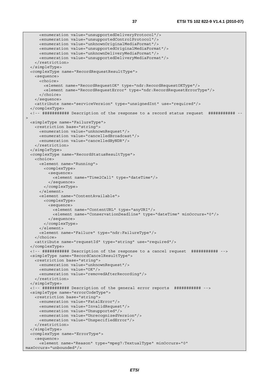```
 <enumeration value="unsupportedDeliveryProtocol"/> 
      <enumeration value="unsupportedControlProtocol"/> 
      <enumeration value="unknownOriginalMediaFormat"/> 
      <enumeration value="unsupportedOriginalMediaFormat"/> 
      <enumeration value="unknownDeliveryMediaFormat"/> 
       <enumeration value="unsupportedDeliveryMediaFormat"/> 
    </restriction> 
  </simpleType> 
  <complexType name="RecordRequestResultType"> 
    <sequence> 
      <choice> 
        <element name="RecordRequestOK" type="ndr:RecordRequestOKType"/> 
        <element name="RecordRequestError" type="ndr:RecordRequestErrorType"/> 
      </choice> 
    </sequence> 
     <attribute name="serviceVersion" type="unsignedInt" use="required"/> 
   </complexType> 
   <!-- ########### Description of the response to a record status request ########### --
\overline{ } <simpleType name="FailureType"> 
    <restriction base="string"> 
      <enumeration value="unknownRequest"/> 
      <enumeration value="cancelledBroadcast"/> 
      <enumeration value="cancelledByNDR"/> 
    </restriction> 
   </simpleType> 
   <complexType name="RecordStatusResultType"> 
     <choice> 
      <element name="Running"> 
        <complexType> 
          <sequence> 
            <element name="Time2Call" type="dateTime"/> 
           </sequence> 
        </complexType> 
      </element> 
       <element name="ContentAvailable"> 
        <complexType> 
          <sequence> 
             <element name="ContentURL" type="anyURI"/> 
             <element name="ConservationDeadline" type="dateTime" minOccurs="0"/> 
          </sequence> 
        </complexType> 
       </element> 
       <element name="Failure" type="ndr:FailureType"/> 
    </choice> 
    <attribute name="requestId" type="string" use="required"/> 
   </complexType> 
  <!-- ########### Description of the response to a cancel request ########### --> 
  <simpleType name="RecordCancelResultType"> 
    <restriction base="string"> 
      <enumeration value="unknownRequest"/> 
      <enumeration value="OK"/> 
      <enumeration value="removedAfterRecording"/> 
     </restriction> 
   </simpleType> 
   <!-- ########### Description of the general error reports ########### --> 
  <simpleType name="errorCodeType"> 
    <restriction base="string"> 
      <enumeration value="FatalError"/> 
      <enumeration value="InvalidRequest"/> 
      <enumeration value="Unsupported"/> 
      <enumeration value="UnrecognizedVersion"/> 
      <enumeration value="UnspecifiedError"/> 
    </restriction> 
   </simpleType> 
   <complexType name="ErrorType"> 
     <sequence> 
      <element name="Reason" type="mpeg7:TextualType" minOccurs="0" 
maxOccurs="unbounded"/>
```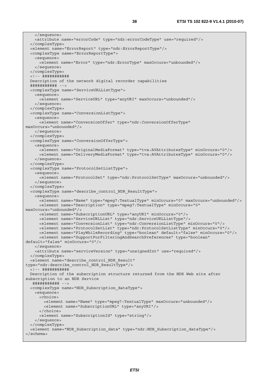```
 </sequence> 
     <attribute name="errorCode" type="ndr:errorCodeType" use="required"/> 
   </complexType> 
   <element name="ErrorReport" type="ndr:ErrorReportType"/> 
   <complexType name="ErrorReportType"> 
     <sequence> 
      <element name="Error" type="ndr:ErrorType" maxOccurs="unbounded"/> 
     </sequence> 
   </complexType> 
   <!-- ########### 
  Description of the network digital recorder capabilities 
   ########### --> 
   <complexType name="ServiceURLListType"> 
    <sequence> 
      <element name="ServiceURL" type="anyURI" maxOccurs="unbounded"/> 
     </sequence> 
   </complexType> 
   <complexType name="ConversionListType"> 
     <sequence> 
      <element name="ConversionOffer" type="ndr:ConversionOfferType" 
maxOccurs="unbounded"/> 
     </sequence> 
   </complexType> 
   <complexType name="ConversionOfferType"> 
     <sequence> 
      <element name="OriginalMediaFormat" type="tva:AVAttributesType" minOccurs="0"/> 
       <element name="DeliveryMediaFormat" type="tva:AVAttributesType" minOccurs="0"/> 
     </sequence> 
   </complexType> 
   <complexType name="ProtocolSetListType"> 
    <sequence> 
      <element name="ProtocolSet" type="ndr:ProtocolSetType" maxOccurs="unbounded"/> 
     </sequence> 
   </complexType> 
   <complexType name="describe_control_NDR_ResultType"> 
     <sequence> 
      <element name="Name" type="mpeg7:TextualType" minOccurs="0" maxOccurs="unbounded"/> 
      <element name="Description" type="mpeg7:TextualType" minOccurs="0" 
maxOccurs="unbounded"/> 
      <element name="SubscriptionURL" type="anyURI" minOccurs="0"/> 
      <element name="ServiceURLList" type="ndr:ServiceURLListType"/> 
      <element name="ConversionList" type="ndr:ConversionListType" minOccurs="0"/> 
      <element name="ProtocolSetList" type="ndr:ProtocolSetListType" minOccurs="0"/> 
      <element name="PlayWhileRecording" type="boolean" default="false" minOccurs="0"/> 
      <element name="SupportForFilteringAndSearchPreferences" type="boolean" 
default="false" minOccurs="0"/> 
     </sequence> 
     <attribute name="serviceVersion" type="unsignedInt" use="required"/> 
   </complexType> 
   <element name="describe_control_NDR_Result" 
type="ndr:describe_control_NDR_ResultType"/> 
   <!-- ########### 
  Description of the subscription structure returned from the NDR Web site after 
subscription to an NDR Service 
   ########### --> 
   <complexType name="NDR_Subscription_dataType"> 
    <sequence> 
      <choice> 
        <element name="Name" type="mpeg7:TextualType" maxOccurs="unbounded"/> 
         <element name="SubscriptionURL" type="anyURI"/> 
       </choice> 
      <element name="SubscriptionId" type="string"/> 
     </sequence> 
   </complexType> 
   <element name="NDR_Subscription_data" type="ndr:NDR_Subscription_dataType"/> 
</schema>
```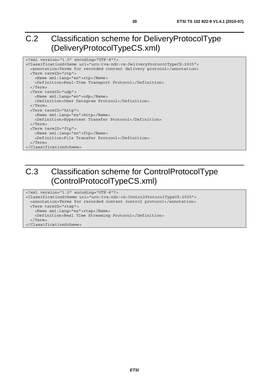# C.2 Classification scheme for DeliveryProtocolType (DeliveryProtocolTypeCS.xml)

```
<?xml version="1.0" encoding="UTF-8"?> 
<ClassificationScheme uri="urn:tva:ndr:cs:DeliveryProtocolTypeCS:2005"> 
  <annotation>Terms for recorded content delivery protocol</annotation> 
  <Term termID="rtp"> 
    <Name xml:lang="en">rtp</Name> 
    <Definition>Real-Time Transport Protocol</Definition> 
   </Term> 
  <Term termID="udp"> 
    <Name xml:lang="en">udp</Name> 
     <Definition>User Datagram Protocol</Definition> 
  </Term> 
  <Term termID="http"> 
    <Name xml:lang="en">http</Name> 
    <Definition>Hypertext Transfer Protocol</Definition> 
  </Term> 
  <Term termID="ftp"> 
    <Name xml:lang="en">ftp</Name> 
    <Definition>File Transfer Protocol</Definition> 
   </Term> 
</ClassificationScheme>
```
# C.3 Classification scheme for ControlProtocolType (ControlProtocolTypeCS.xml)

```
<?xml version="1.0" encoding="UTF-8"?> 
<ClassificationScheme uri="urn:tva:ndr:cs:ControlProtocolTypeCS:2005"> 
  <annotation>Terms for recorded content control protocol</annotation> 
  <Term termID="rtsp"> 
    <Name xml:lang="en">rtsp</Name> 
    <Definition>Real Time Streaming Protocol</Definition> 
   </Term> 
</ClassificationScheme>
```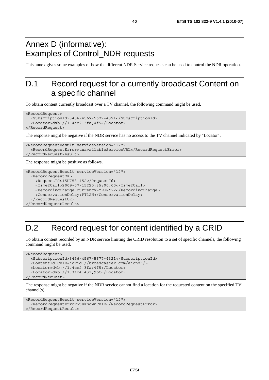# Annex D (informative): Examples of Control\_NDR requests

This annex gives some examples of how the different NDR Service requests can be used to control the NDR operation.

# D.1 Record request for a currently broadcast Content on a specific channel

To obtain content currently broadcast over a TV channel, the following command might be used.

```
<RecordRequest> 
   <SubscriptionId>3456-4567-5677-4321</SubscriptionId> 
   <Locator>dvb://1.4ee2.3fa;4f5</Locator> 
</RecordRequest>
```
The response might be negative if the NDR service has no access to the TV channel indicated by "Locator".

```
<RecordRequestResult serviceVersion="12"> 
   <RecordRequestError>unavailableServiceURL</RecordRequestError> 
</RecordRequestResult>
```
The response might be positive as follows.

```
<RecordRequestResult serviceVersion="12"> 
  <RecordRequestOK> 
     <RequestId>45U753-452</RequestId> 
     <Time2Call>2009-07-15T20:35:00.00</Time2Call> 
     <RecordingCharge currency="EUR">2</RecordingCharge> 
     <ConservationDelay>PT12H</ConservationDelay> 
   </RecordRequestOK> 
</RecordRequestResult>
```
# D.2 Record request for content identified by a CRID

To obtain content recorded by an NDR service limiting the CRID resolution to a set of specific channels, the following command might be used.

```
<RecordRequest> 
   <SubscriptionId>3456-4567-5677-4321</SubscriptionId> 
   <ContentId CRID="crid://broadcaster.com/ajcnd"/> 
   <Locator>dvb://1.4ee2.3fa;4f5</Locator> 
   <Locator>dvb://1.3fc4.431;9bC</Locator> 
</RecordRequest>
```
The response might be negative if the NDR service cannot find a location for the requested content on the specified TV channel(s).

*ETSI* 

```
<RecordRequestResult serviceVersion="12"> 
   <RecordRequestError>unknownCRID</RecordRequestError> 
</RecordRequestResult>
```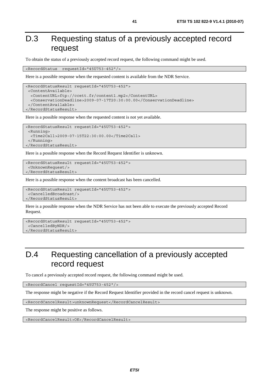# D.3 Requesting status of a previously accepted record request

To obtain the status of a previously accepted record request, the following command might be used.

<RecordStatus requestId="45U753-452"/>

Here is a possible response when the requested content is available from the NDR Service.

```
<RecordStatusResult requestId="45U753-452"> 
  <ContentAvailable> 
   <ContentURL>ftp://ccett.fr/content1.mp2</ContentURL> 
   <ConservationDeadline>2009-07-17T20:30:00.00</ConservationDeadline> 
  </ContentAvailable> 
</RecordStatusResult>
```
Here is a possible response when the requested content is not yet available.

```
<RecordStatusResult requestId="45U753-452"> 
  <Running> 
   <Time2Call>2009-07-15T22:30:00.00</Time2Call> 
  </Running> 
</RecordStatusResult>
```
Here is a possible response when the Record Request Identifier is unknown.

```
<RecordStatusResult requestId="45U753-452"> 
  <UnknownRequest/> 
</RecordStatusResult>
```
Here is a possible response when the content broadcast has been cancelled.

```
<RecordStatusResult requestId="45U753-452"> 
  <CancelledBroadcast/> 
</RecordStatusResult>
```
Here is a possible response when the NDR Service has not been able to execute the previously accepted Record Request.

```
<RecordStatusResult requestId="45U753-452"> 
  <CancelledByNDR/> 
</RecordStatusResult>
```
# D.4 Requesting cancellation of a previously accepted record request

To cancel a previously accepted record request, the following command might be used.

<RecordCancel requestId="45U753-452"/>

The response might be negative if the Record Request Identifier provided in the record cancel request is unknown.

<RecordCancelResult>unknownRequest</RecordCancelResult>

The response might be positive as follows.

<RecordCancelResult>OK</RecordCancelResult>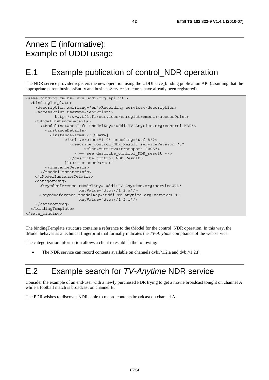# Annex E (informative): Example of UDDI usage

# E.1 Example publication of control\_NDR operation

The NDR service provider registers the new operation using the UDDI save\_binding publication API (assuming that the appropriate parent businessEntity and businessService structures have already been registered).

```
<save binding xmlns="urn:uddi-org:api v3">
   <bindingTemplate> 
     <description xml:lang="en">Recording service</description> 
     <accessPoint useType="endPoint"> 
             http://www.tf1.fr/services/enregistrement</accessPoint> 
    <tModelInstanceDetails> 
       <tModelInstanceInfo tModelKey="uddi:TV-Anytime.org:control_NDR"> 
         <instanceDetails> 
           <instanceParms><![CDATA[ 
                  <?xml version="1.0" encoding="utf-8"?> 
                    <describe_control_NDR_Result serviceVersion="3" 
                          xmlns="urn:tva:transport:2005"> 
                      <!—- see describe_control_NDR_result --> 
                    </describe_control_NDR_Result> 
                  ]]></instanceParms> 
         </instanceDetails> 
       </tModelInstanceInfo> 
    </tModelInstanceDetails> 
    <categoryBag> 
       <keyedReference tModelKey="uddi:TV-Anytime.org:serviceURL" 
                        keyValue="dvb://1.2.a"/> 
       <keyedReference tModelKey="uddi:TV-Anytime.org:serviceURL" 
                        keyValue="dvb://1.2.f"/> 
     </categoryBag> 
   </bindingTemplate> 
</save_binding>
```
The bindingTemplate structure contains a reference to the tModel for the control\_NDR operation. In this way, the tModel behaves as a technical fingerprint that formally indicates the *TV-Anytime* compliance of the web service.

The categorization information allows a client to establish the following:

• The NDR service can record contents available on channels dvb://1.2.a and dvb://1.2.f.

# E.2 Example search for *TV-Anytime* NDR service

Consider the example of an end-user with a newly purchased PDR trying to get a movie broadcast tonight on channel A while a football match is broadcast on channel B.

The PDR wishes to discover NDRs able to record contents broadcast on channel A.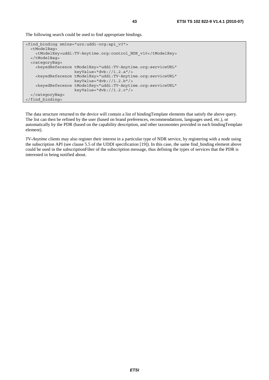The following search could be used to find appropriate bindings.

```
<find_binding xmlns="urn:uddi-org:api_v3"> 
   <tModelBag> 
     <tModelKey>uddi:TV-Anytime.org:control_NDR_v10</tModelKey> 
   </tModelBag> 
   <categoryBag> 
     <keyedReference tModelKey="uddi:TV-Anytime.org:serviceURL" 
                      keyValue="dvb://1.2.a"/> 
     <keyedReference tModelKey="uddi:TV-Anytime.org:serviceURL" 
                      keyValue="dvb://1.2.b"/> 
     <keyedReference tModelKey="uddi:TV-Anytime.org:serviceURL" 
                      keyValue="dvb://1.2.c"/> 
   </categoryBag> 
</find_binding>
```
The data structure returned to the device will contain a list of bindingTemplate elements that satisfy the above query. The list can then be refined by the user (based on brand preferences, recommendations, languages used, etc.), or automatically by the PDR (based on the capability description, and other taxonomies provided in each bindingTemplate element).

*TV-Anytime* clients may also register their interest in a particular type of NDR service, by registering with a node using the subscription API (see clause 5.5 of the UDDI specification [19]). In this case, the same find\_binding element above could be used in the subscriptionFilter of the subscription message, thus defining the types of services that the PDR is interested in being notified about.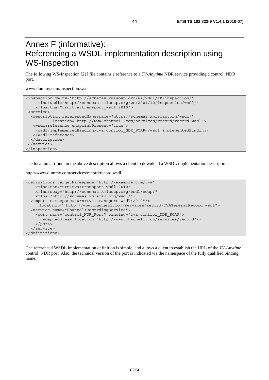# Annex F (informative): Referencing a WSDL implementation description using WS-Inspection

The following WS-Inspection [21] file contains a reference to a *TV-Anytime* NDR service providing a control\_NDR port.

www.dummy.com/inspection.wsil

```
<inspection xmlns="http://schemas.xmlsoap.org/ws/2001/10/inspection/" 
    xmlns:wsdl="http://schemas.xmlsoap.org/ws/2001/10/inspection/wsdl/" 
    xmlns:tns="urn:tva:transport_wsdl:2010"> 
 <service> 
   <description referencedNamespace="http://schemas.xmlsoap.org/wsdl/" 
            location="http://www.channel1.com/services/record/record.wsdl"> 
   <wsdl:reference endpointPresent="true"> 
    <wsdl:implementedBinding>tva:control_NDR_SOAP</wsdl:implementedBinding> 
    </wsdl:reference> 
  </description> 
  </service> 
</inspection>
```
The location attribute in the above description allows a client to download a WSDL implementation description.

http://www.dummy.com/services/record/record.wsdl

```
<definitions targetNamespace="http://example.com/tva" 
     xmlns:tns="urn:tva:transport_wsdl:2010" 
    xmlns:soap="http://schemas.xmlsoap.org/wsdl/soap/" 
     xmlns="http://schemas.xmlsoap.org/wsdl/"> 
   <import namespace="urn:tva:transport_wsdl:2010"/> 
      location=" http://www.channel1.com/services/record/TVAGeneralRecord.wsdl"> 
   <service name="Channel1RecordingService"> 
     <port name="control_NDR_Port" binding="tva:control_NDR_SOAP"> 
       <soap:address location="http://www.channel1.com/services/record"/> 
     </port> 
   </service> 
</definitions>
```
The referenced WSDL implementation definition is simple, and allows a client to establish the URL of the *TV-Anytime* control NDR port. Also, the technical version of the port is indicated via the namespace of the fully qualified binding name.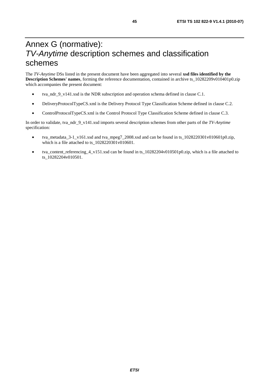# Annex G (normative): *TV-Anytime* description schemes and classification schemes

The *TV-Anytime* DSs listed in the present document have been aggregated into several **xsd files identified by the Description Schemes' names**, forming the reference documentation, contained in archive ts\_10282209v010401p0.zip which accompanies the present document:

- tva\_ndr\_9\_v141.xsd is the NDR subscription and operation schema defined in clause C.1.
- DeliveryProtocolTypeCS.xml is the Delivery Protocol Type Classification Scheme defined in clause C.2.
- ControlProtocolTypeCS.xml is the Control Protocol Type Classification Scheme defined in clause C.3.

In order to validate, tva\_ndr\_9\_v141.xsd imports several description schemes from other parts of the *TV-Anytime*  specification:

- tva\_metadata\_3-1\_v161.xsd and tva\_mpeg7\_2008.xsd and can be found in ts\_1028220301v010601p0.zip, which is a file attached to ts  $1028220301v010601$ .
- tva\_content\_referencing\_4\_v151.xsd can be found in ts\_10282204v010501p0.zip, which is a file attached to ts\_10282204v010501.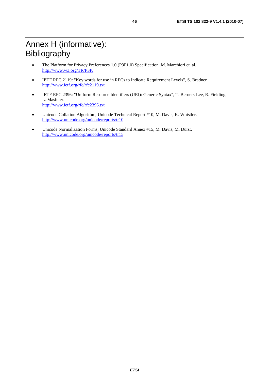- The Platform for Privacy Preferences 1.0 (P3P1.0) Specification, M. Marchiori et. al. <http://www.w3.org/TR/P3P/>
- IETF RFC 2119: "Key words for use in RFCs to Indicate Requirement Levels", S. Bradner. <http://www.ietf.org/rfc/rfc2119.txt>
- IETF RFC 2396: "Uniform Resource Identifiers (URI): Generic Syntax", T. Berners-Lee, R. Fielding, L. Masinter. <http://www.ietf.org/rfc/rfc2396.txt>
- Unicode Collation Algorithm, Unicode Technical Report #10, M. Davis, K. Whistler. <http://www.unicode.org/unicode/reports/tr10>
- Unicode Normalization Forms, Unicode Standard Annex #15, M. Davis, M. Dürst. <http://www.unicode.org/unicode/reports/tr15>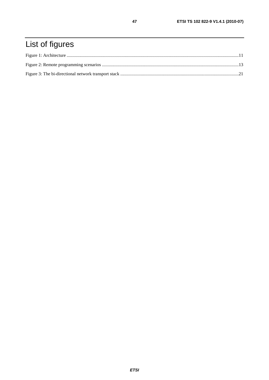# List of figures